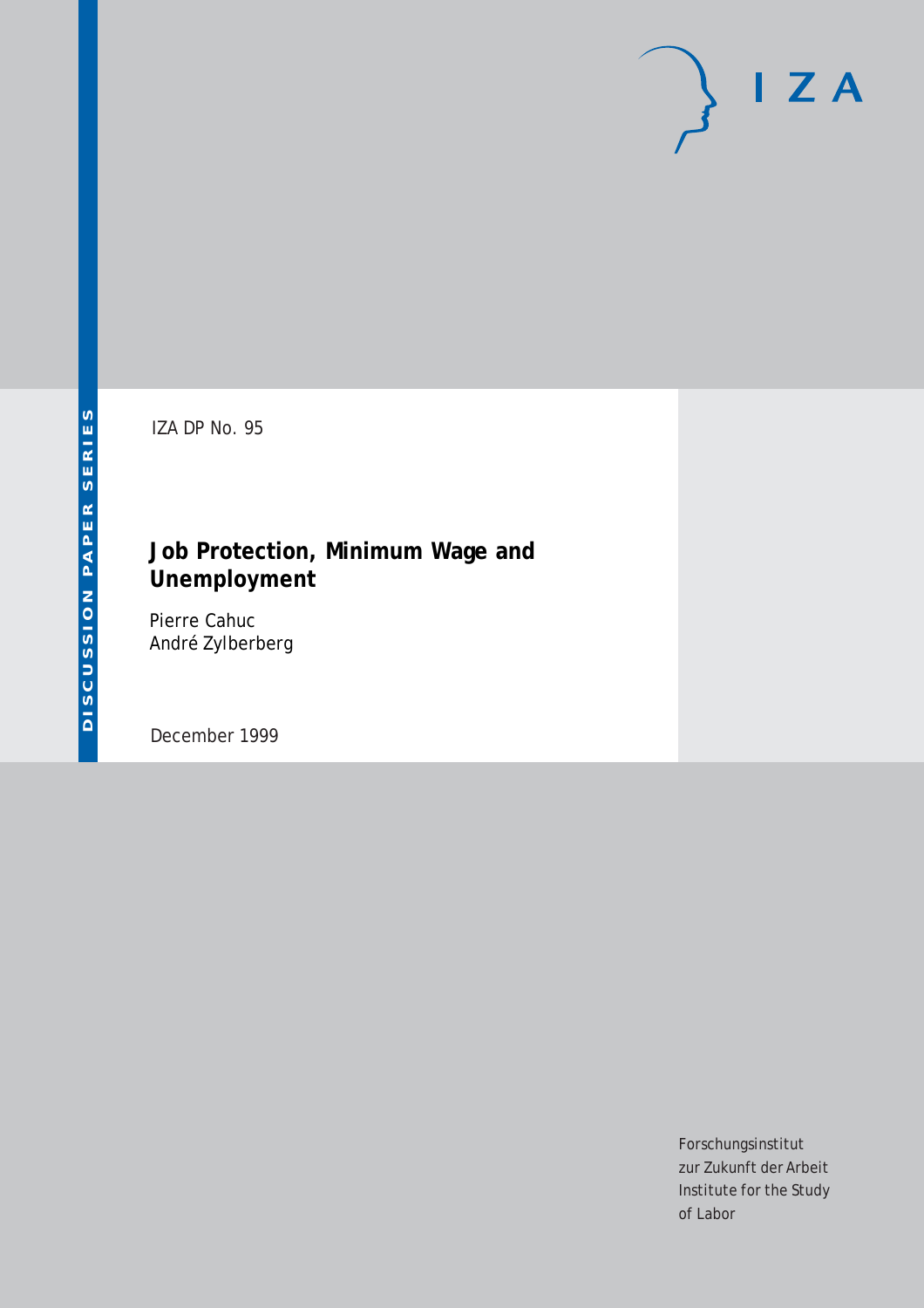# $I Z A$

IZA DP No. 95

# **Job Protection, Minimum Wage and Unemployment**

Pierre Cahuc André Zylberberg

December 1999

Forschungsinstitut zur Zukunft der Arbeit Institute for the Study of Labor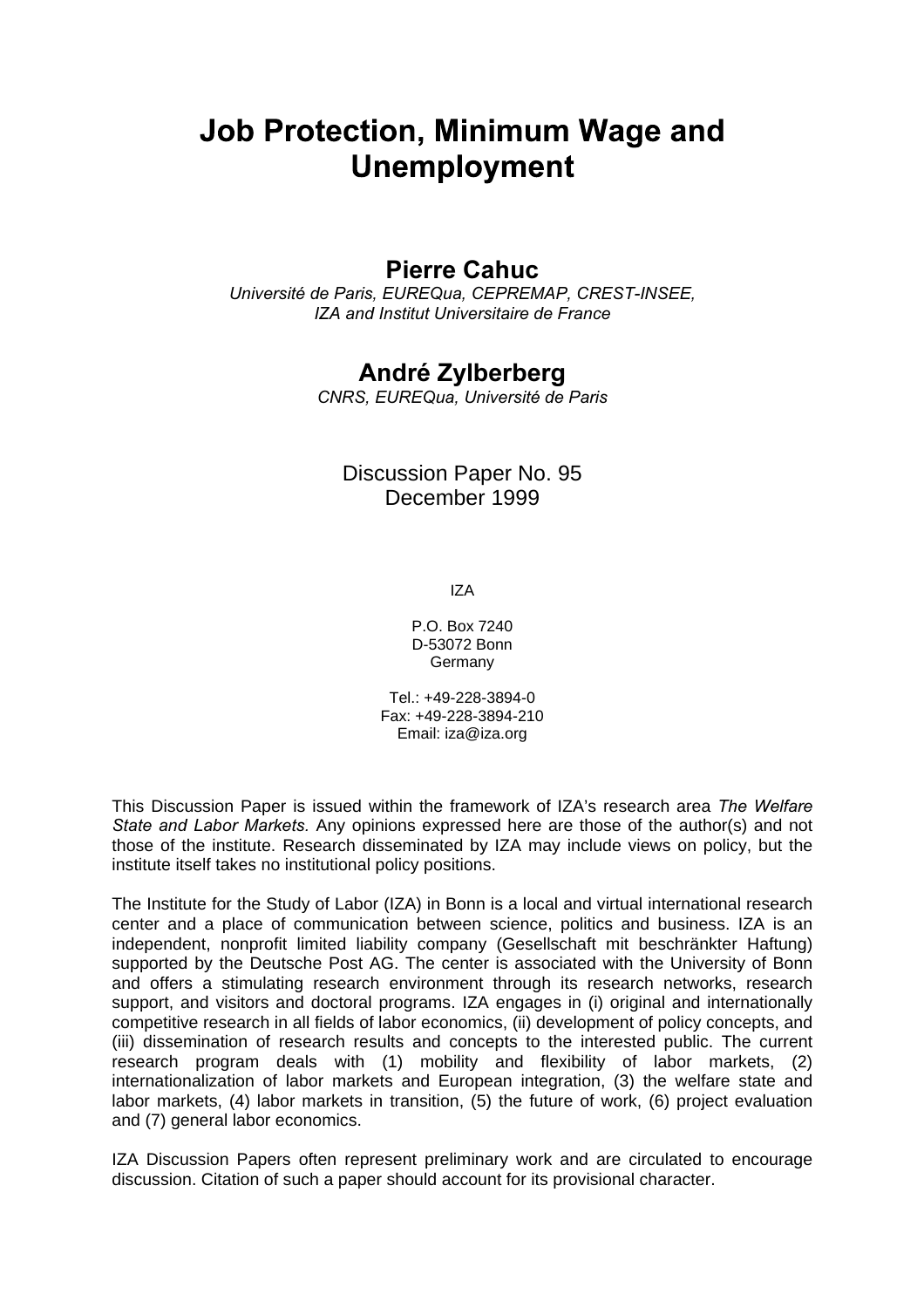# **Job Protection, Minimum Wage and Unemployment**

# **Pierre Cahuc**

Université de Paris, EUREQua, CEPREMAP, CREST-INSEE, IZA and Institut Universitaire de France

# **André Zylberberg**

CNRS, EUREQua, Université de Paris

# Discussion Paper No. 95 December 1999

IZA

P.O. Box 7240 D-53072 Bonn Germany

Tel.: +49-228-3894-0 Fax: +49-228-3894-210 Email: iza@iza.org

This Discussion Paper is issued within the framework of IZA's research area The Welfare State and Labor Markets. Any opinions expressed here are those of the author(s) and not those of the institute. Research disseminated by IZA may include views on policy, but the institute itself takes no institutional policy positions.

The Institute for the Study of Labor (IZA) in Bonn is a local and virtual international research center and a place of communication between science, politics and business. IZA is an independent, nonprofit limited liability company (Gesellschaft mit beschränkter Haftung) supported by the Deutsche Post AG. The center is associated with the University of Bonn and offers a stimulating research environment through its research networks, research support, and visitors and doctoral programs. IZA engages in (i) original and internationally competitive research in all fields of labor economics, (ii) development of policy concepts, and (iii) dissemination of research results and concepts to the interested public. The current research program deals with (1) mobility and flexibility of labor markets, (2) internationalization of labor markets and European integration, (3) the welfare state and labor markets, (4) labor markets in transition, (5) the future of work, (6) project evaluation and (7) general labor economics.

IZA Discussion Papers often represent preliminary work and are circulated to encourage discussion. Citation of such a paper should account for its provisional character.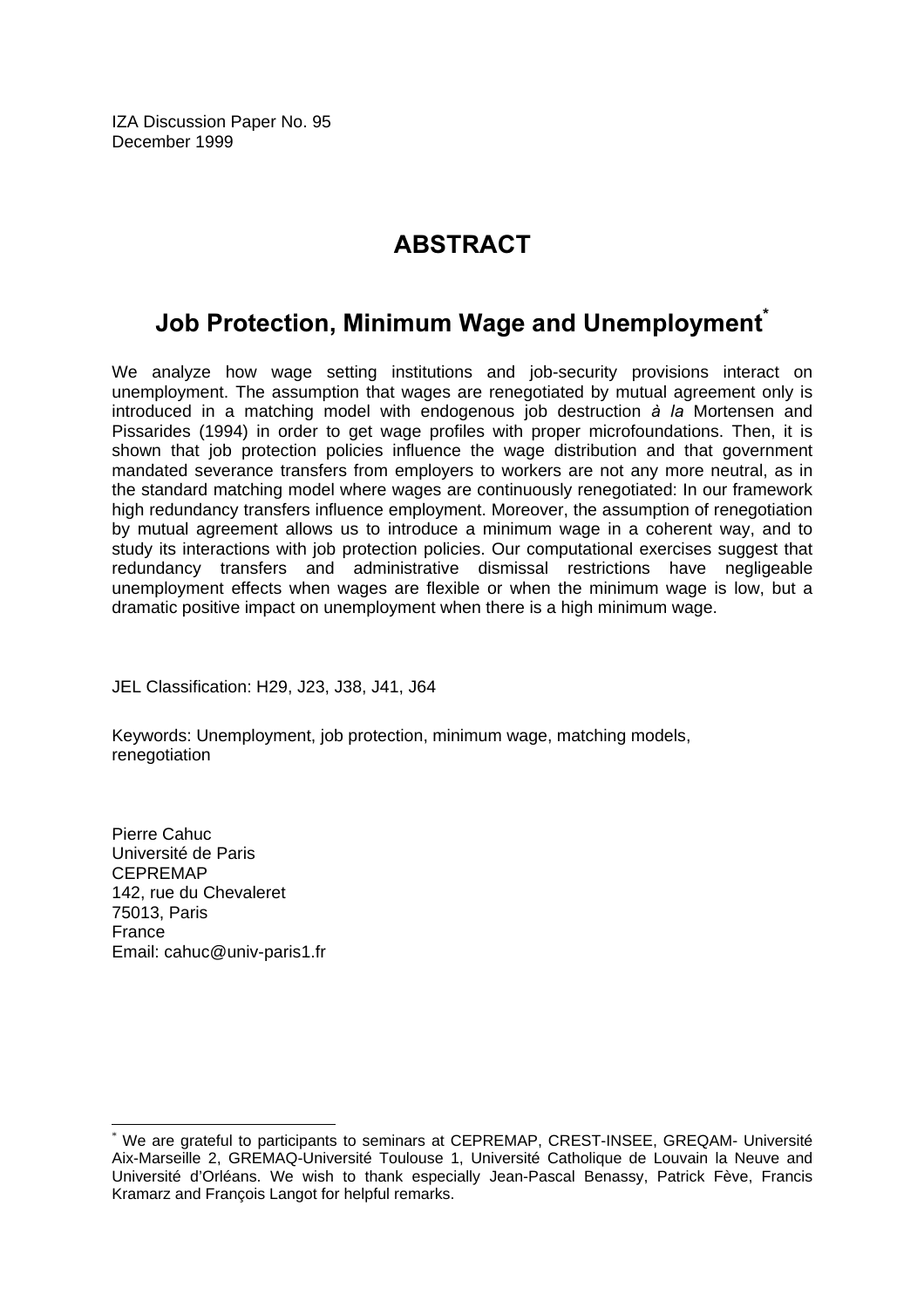IZA Discussion Paper No. 95 December 1999

# **ABSTRACT**

# Job Protection, Minimum Wage and Unemployment $\check{\;\;}$

We analyze how wage setting institutions and job-security provisions interact on unemployment. The assumption that wages are renegotiated by mutual agreement only is introduced in a matching model with endogenous job destruction à la Mortensen and Pissarides (1994) in order to get wage profiles with proper microfoundations. Then, it is shown that job protection policies influence the wage distribution and that government mandated severance transfers from employers to workers are not any more neutral, as in the standard matching model where wages are continuously renegotiated: In our framework high redundancy transfers influence employment. Moreover, the assumption of renegotiation by mutual agreement allows us to introduce a minimum wage in a coherent way, and to study its interactions with job protection policies. Our computational exercises suggest that redundancy transfers and administrative dismissal restrictions have negligeable unemployment effects when wages are flexible or when the minimum wage is low, but a dramatic positive impact on unemployment when there is a high minimum wage.

JEL Classification: H29, J23, J38, J41, J64

Keywords: Unemployment, job protection, minimum wage, matching models, renegotiation

Pierre Cahuc Université de Paris CEPREMAP 142, rue du Chevaleret 75013, Paris France Email: cahuc@univ-paris1.fr

 $\overline{a}$ \* We are grateful to participants to seminars at CEPREMAP, CREST-INSEE, GREQAM- Université Aix-Marseille 2, GREMAQ-Université Toulouse 1, Université Catholique de Louvain la Neuve and Université d'Orléans. We wish to thank especially Jean-Pascal Benassy, Patrick Fève, Francis Kramarz and François Langot for helpful remarks.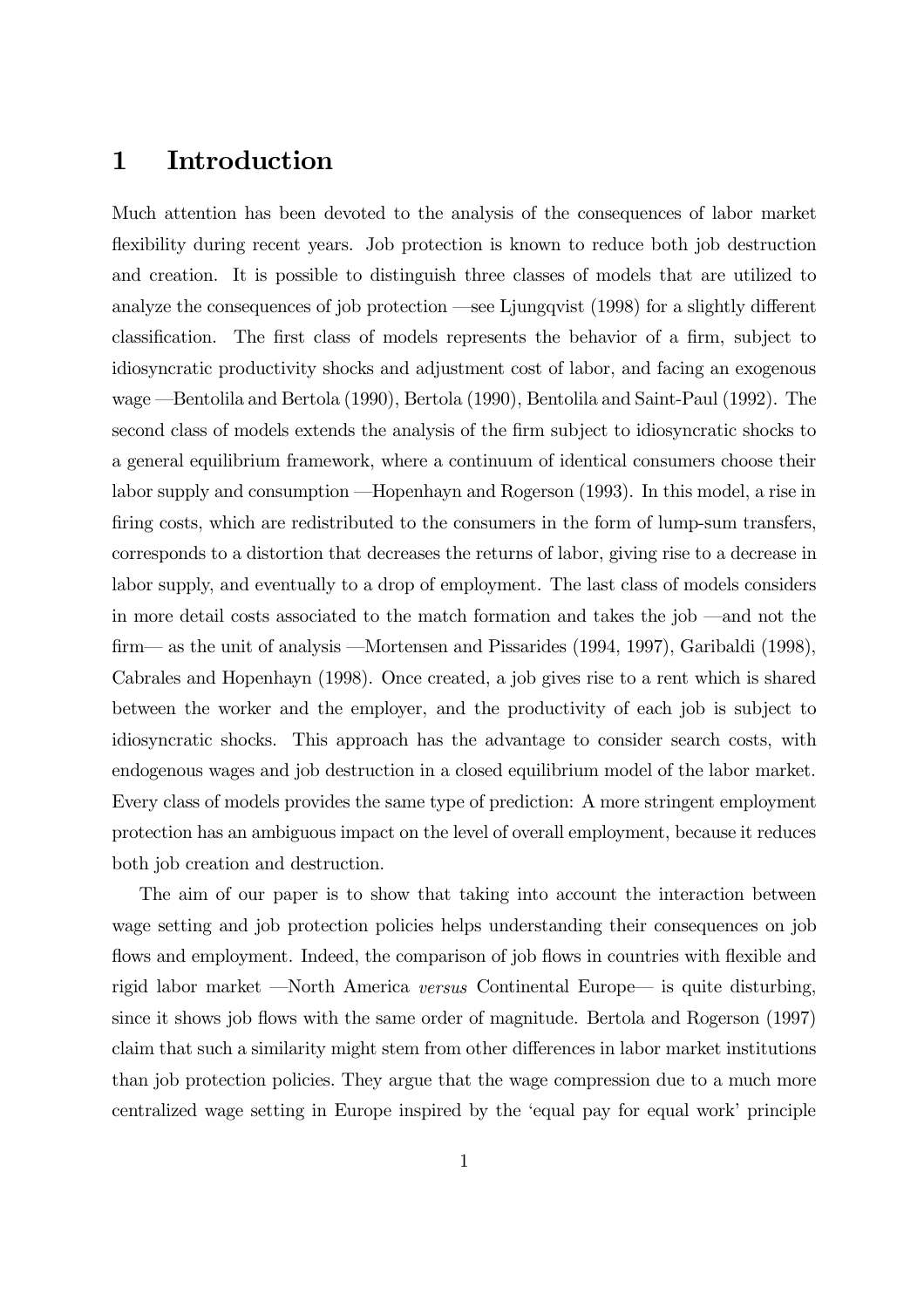#### Introduction  $\mathbf 1$

Much attention has been devoted to the analysis of the consequences of labor market flexibility during recent years. Job protection is known to reduce both job destruction and creation. It is possible to distinguish three classes of models that are utilized to analyze the consequences of job protection —see Ljungqvist (1998) for a slightly different classification. The first class of models represents the behavior of a firm, subject to idiosyncratic productivity shocks and adjustment cost of labor, and facing an exogenous wage — Bentolila and Bertola (1990), Bertola (1990), Bentolila and Saint-Paul (1992). The second class of models extends the analysis of the firm subject to idiosyncratic shocks to a general equilibrium framework, where a continuum of identical consumers choose their labor supply and consumption —Hopenhayn and Rogerson (1993). In this model, a rise in firing costs, which are redistributed to the consumers in the form of lump-sum transfers, corresponds to a distortion that decreases the returns of labor, giving rise to a decrease in labor supply, and eventually to a drop of employment. The last class of models considers in more detail costs associated to the match formation and takes the job —and not the firm— as the unit of analysis —Mortensen and Pissarides (1994, 1997), Garibaldi (1998), Cabrales and Hopenhayn (1998). Once created, a job gives rise to a rent which is shared between the worker and the employer, and the productivity of each job is subject to idiosyncratic shocks. This approach has the advantage to consider search costs, with endogenous wages and job destruction in a closed equilibrium model of the labor market. Every class of models provides the same type of prediction: A more stringent employment protection has an ambiguous impact on the level of overall employment, because it reduces both job creation and destruction.

The aim of our paper is to show that taking into account the interaction between wage setting and job protection policies helps understanding their consequences on job flows and employment. Indeed, the comparison of job flows in countries with flexible and rigid labor market —North America versus Continental Europe— is quite disturbing, since it shows job flows with the same order of magnitude. Bertola and Rogerson (1997) claim that such a similarity might stem from other differences in labor market institutions than job protection policies. They argue that the wage compression due to a much more centralized wage setting in Europe inspired by the 'equal pay for equal work' principle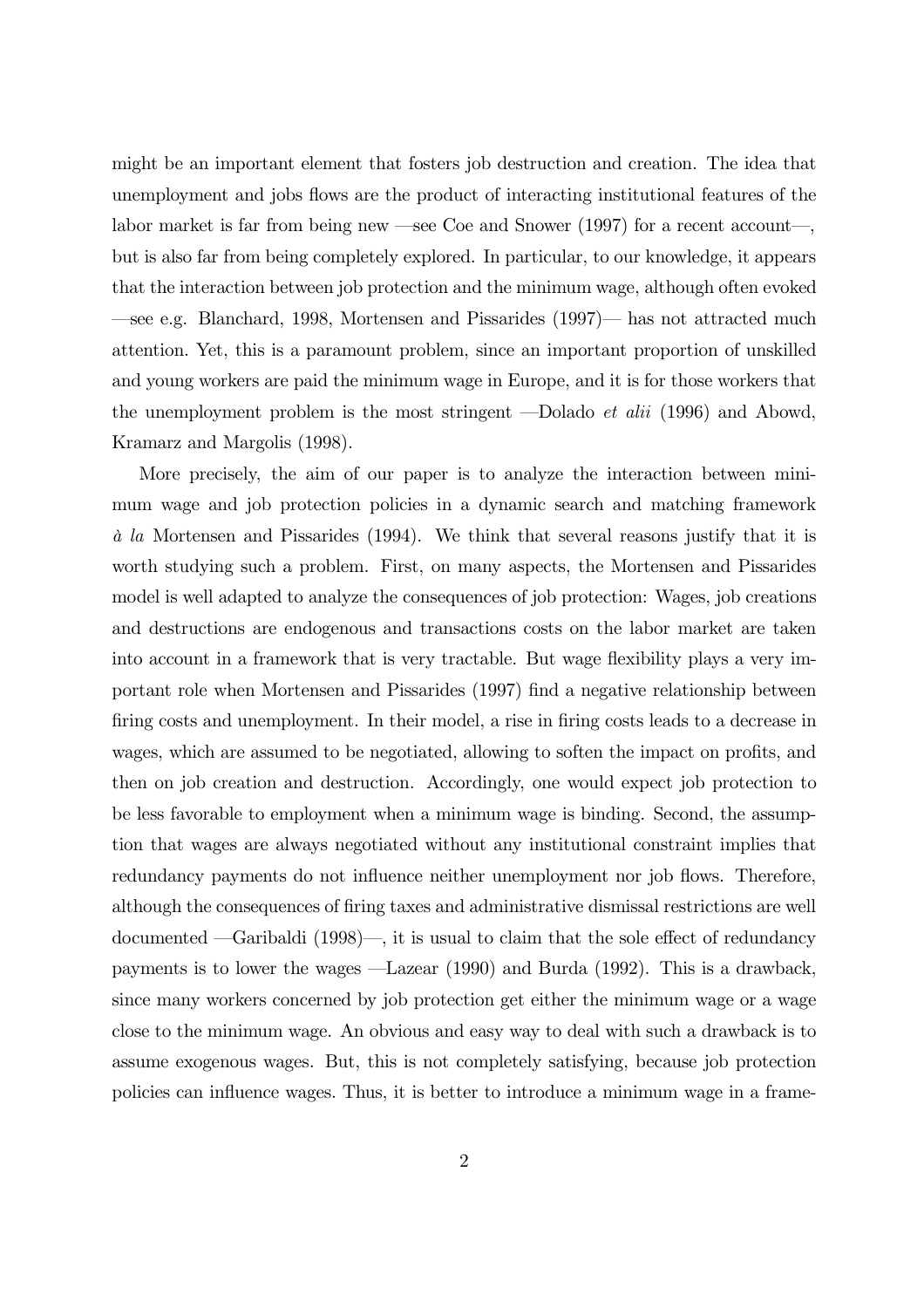might be an important element that fosters job destruction and creation. The idea that unemployment and jobs flows are the product of interacting institutional features of the labor market is far from being new —see Coe and Snower  $(1997)$  for a recent account—, but is also far from being completely explored. In particular, to our knowledge, it appears that the interaction between job protection and the minimum wage, although often evoked  $\frac{1}{2}$  e.g. Blanchard, 1998, Mortensen and Pissarides (1997)— has not attracted much attention. Yet, this is a paramount problem, since an important proportion of unskilled and young workers are paid the minimum wage in Europe, and it is for those workers that the unemployment problem is the most stringent —Dolado *et alii* (1996) and Abowd, Kramarz and Margolis (1998).

More precisely, the aim of our paper is to analyze the interaction between minimum wage and job protection policies in a dynamic search and matching framework  $\dot{a}$  la Mortensen and Pissarides (1994). We think that several reasons justify that it is worth studying such a problem. First, on many aspects, the Mortensen and Pissarides model is well adapted to analyze the consequences of job protection: Wages, job creations and destructions are endogenous and transactions costs on the labor market are taken into account in a framework that is very tractable. But wage flexibility plays a very important role when Mortensen and Pissarides (1997) find a negative relationship between firing costs and unemployment. In their model, a rise in firing costs leads to a decrease in wages, which are assumed to be negotiated, allowing to soften the impact on profits, and then on job creation and destruction. Accordingly, one would expect job protection to be less favorable to employment when a minimum wage is binding. Second, the assumption that wages are always negotiated without any institutional constraint implies that redundancy payments do not influence neither unemployment nor job flows. Therefore, although the consequences of firing taxes and administrative dismissal restrictions are well documented  $\text{—Garibaldi}$  (1998)—, it is usual to claim that the sole effect of redundancy payments is to lower the wages  $-$ Lazear (1990) and Burda (1992). This is a drawback, since many workers concerned by job protection get either the minimum wage or a wage close to the minimum wage. An obvious and easy way to deal with such a drawback is to assume exogenous wages. But, this is not completely satisfying, because job protection policies can influence wages. Thus, it is better to introduce a minimum wage in a frame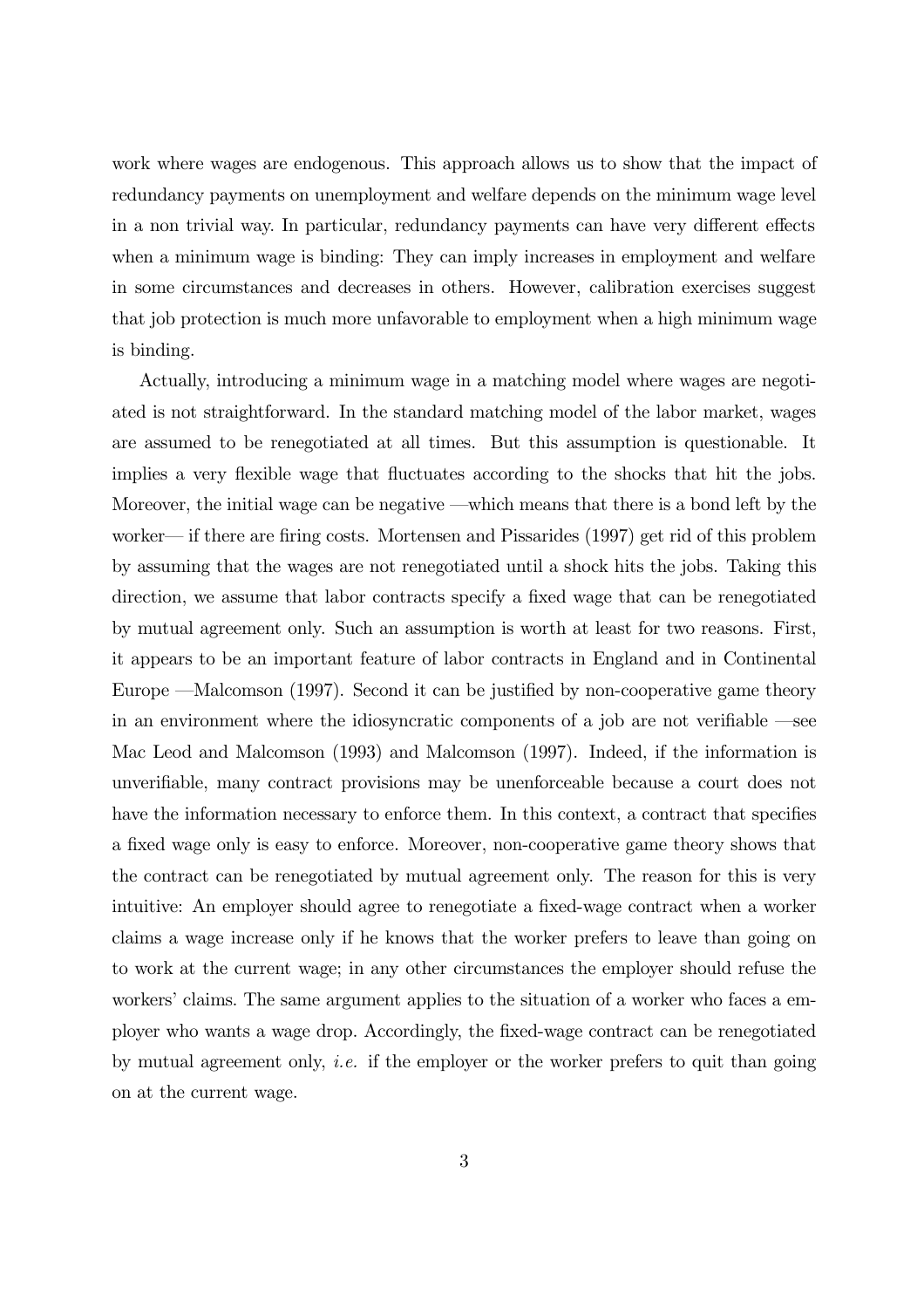work where wages are endogenous. This approach allows us to show that the impact of redundancy payments on unemployment and welfare depends on the minimum wage level in a non trivial way. In particular, redundancy payments can have very different effects when a minimum wage is binding: They can imply increases in employment and welfare in some circumstances and decreases in others. However, calibration exercises suggest that job protection is much more unfavorable to employment when a high minimum wage is binding.

Actually, introducing a minimum wage in a matching model where wages are negotiated is not straightforward. In the standard matching model of the labor market, wages are assumed to be renegotiated at all times. But this assumption is questionable. It implies a very flexible wage that fluctuates according to the shocks that hit the jobs. Moreover, the initial wage can be negative —which means that there is a bond left by the worker— if there are firing costs. Mortensen and Pissarides (1997) get rid of this problem by assuming that the wages are not renegotiated until a shock hits the jobs. Taking this direction, we assume that labor contracts specify a fixed wage that can be renegotiated by mutual agreement only. Such an assumption is worth at least for two reasons. First, it appears to be an important feature of labor contracts in England and in Continental Europe —Malcomson (1997). Second it can be justified by non-cooperative game theory in an environment where the idiosyncratic components of a job are not verifiable  $\text{--see}$ Mac Leod and Malcomson (1993) and Malcomson (1997). Indeed, if the information is unverifiable, many contract provisions may be unenforceable because a court does not have the information necessary to enforce them. In this context, a contract that specifies a fixed wage only is easy to enforce. Moreover, non-cooperative game theory shows that the contract can be renegotiated by mutual agreement only. The reason for this is very intuitive: An employer should agree to renegotiate a fixed-wage contract when a worker claims a wage increase only if he knows that the worker prefers to leave than going on to work at the current wage; in any other circumstances the employer should refuse the workers' claims. The same argument applies to the situation of a worker who faces a employer who wants a wage drop. Accordingly, the fixed-wage contract can be renegotiated by mutual agreement only, *i.e.* if the employer or the worker prefers to quit than going on at the current wage.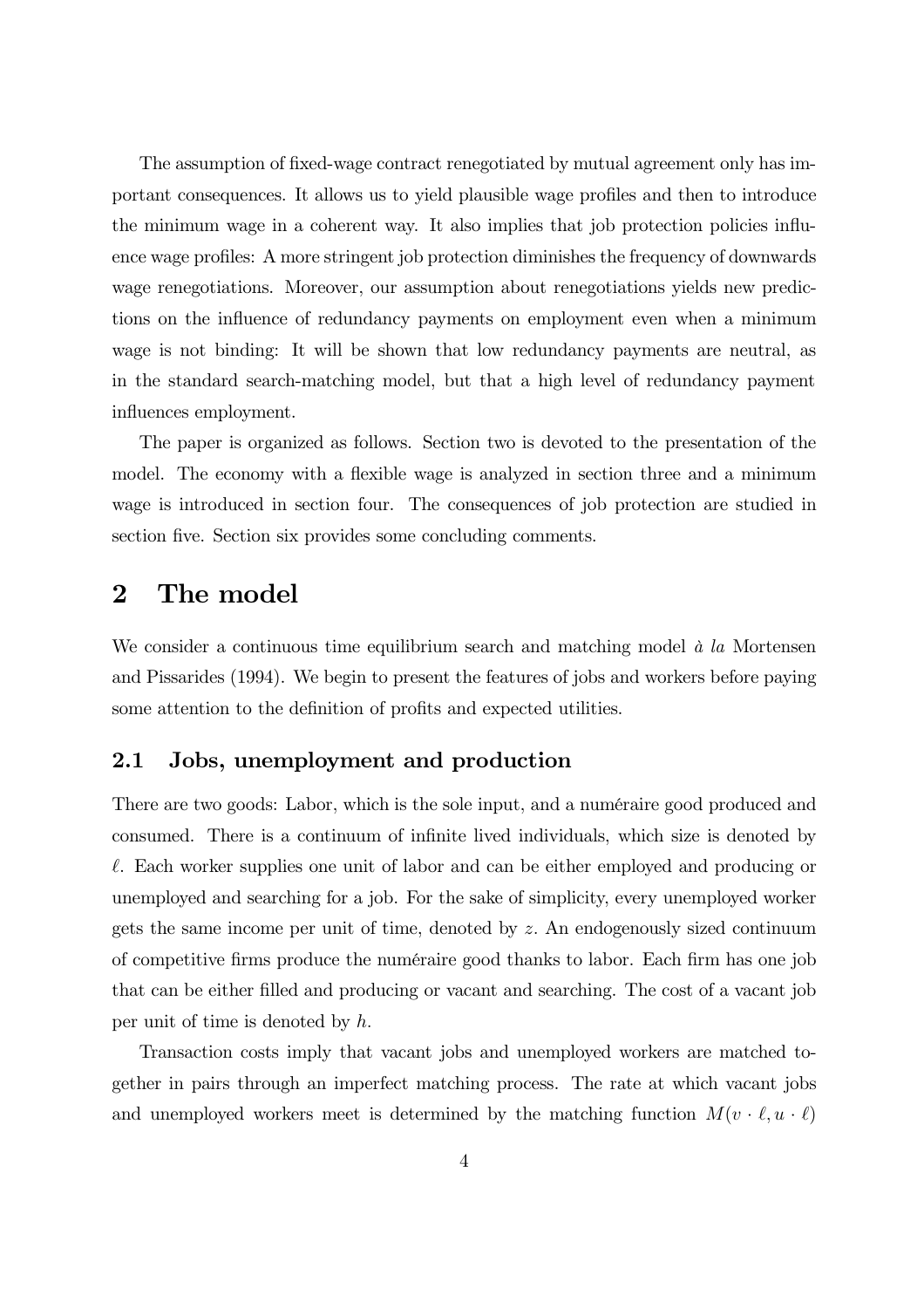The assumption of fixed-wage contract renegotiated by mutual agreement only has important consequences. It allows us to yield plausible wage profiles and then to introduce the minimum wage in a coherent way. It also implies that job protection policies influence wage profiles: A more stringent job protection diminishes the frequency of downwards wage renegotiations. Moreover, our assumption about renegotiations yields new predictions on the influence of redundancy payments on employment even when a minimum wage is not binding: It will be shown that low redundancy payments are neutral, as in the standard search-matching model, but that a high level of redundancy payment influences employment.

The paper is organized as follows. Section two is devoted to the presentation of the model. The economy with a flexible wage is analyzed in section three and a minimum wage is introduced in section four. The consequences of job protection are studied in section five. Section six provides some concluding comments.

#### The model  $\bf{2}$

We consider a continuous time equilibrium search and matching model  $\dot{a}$  la Mortensen and Pissarides (1994). We begin to present the features of jobs and workers before paying some attention to the definition of profits and expected utilities.

#### $2.1$ Jobs, unemployment and production

There are two goods: Labor, which is the sole input, and a numéraire good produced and consumed. There is a continuum of infinite lived individuals, which size is denoted by  $\ell$ . Each worker supplies one unit of labor and can be either employed and producing or unemployed and searching for a job. For the sake of simplicity, every unemployed worker gets the same income per unit of time, denoted by  $z$ . An endogenously sized continuum of competitive firms produce the numéraire good thanks to labor. Each firm has one job that can be either filled and producing or vacant and searching. The cost of a vacant job per unit of time is denoted by  $h$ .

Transaction costs imply that vacant jobs and unemployed workers are matched together in pairs through an imperfect matching process. The rate at which vacant jobs and unemployed workers meet is determined by the matching function  $M(v \cdot \ell, u \cdot \ell)$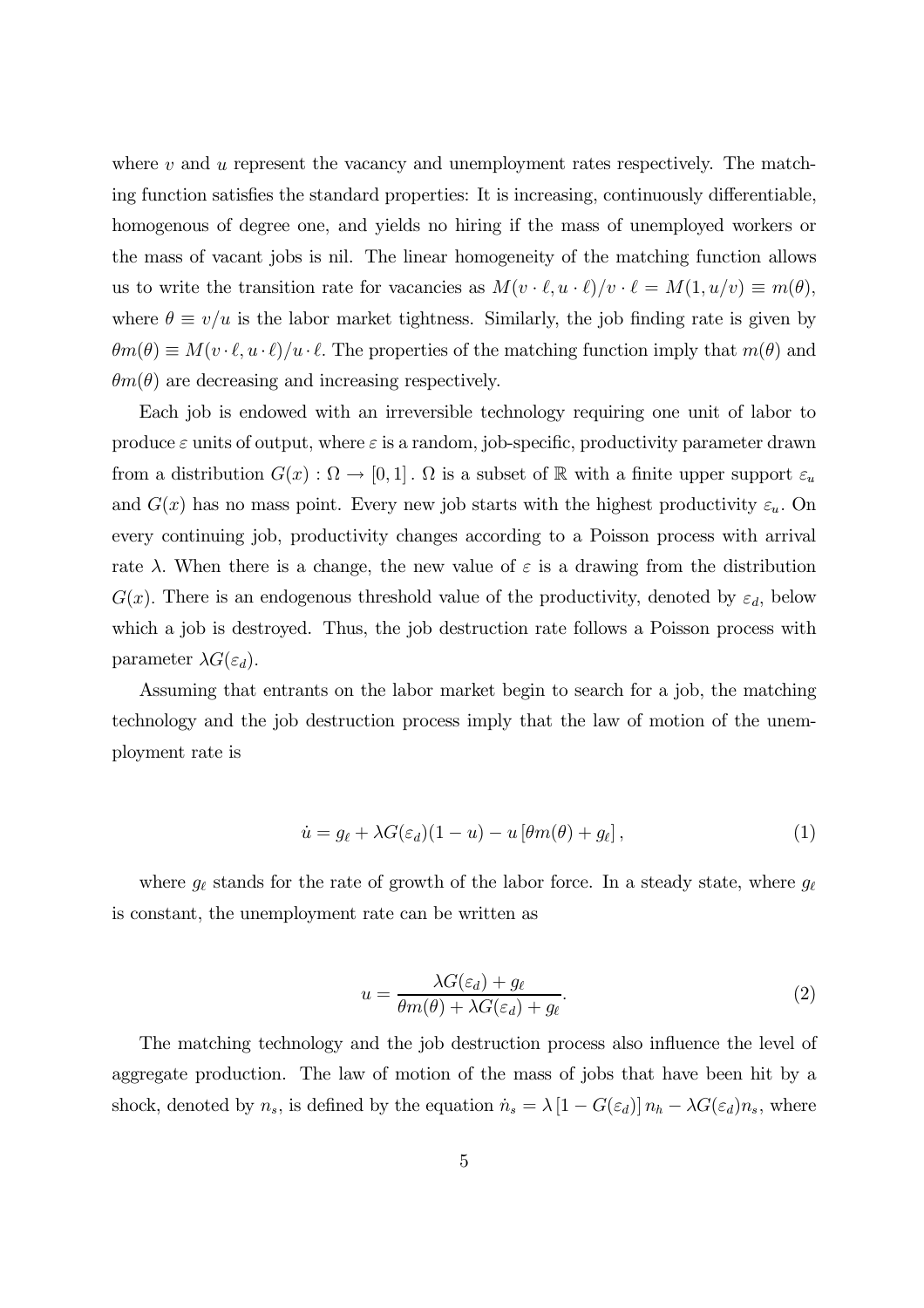where  $v$  and  $u$  represent the vacancy and unemployment rates respectively. The matching function satisfies the standard properties: It is increasing, continuously differentiable, homogenous of degree one, and yields no hiring if the mass of unemployed workers or the mass of vacant jobs is nil. The linear homogeneity of the matching function allows us to write the transition rate for vacancies as  $M(v \cdot \ell, u \cdot \ell)/v \cdot \ell = M(1, u/v) \equiv m(\theta)$ , where  $\theta \equiv v/u$  is the labor market tightness. Similarly, the job finding rate is given by  $\theta m(\theta) \equiv M(v \cdot \ell, u \cdot \ell)/u \cdot \ell$ . The properties of the matching function imply that  $m(\theta)$  and  $\theta m(\theta)$  are decreasing and increasing respectively.

Each job is endowed with an irreversible technology requiring one unit of labor to produce  $\varepsilon$  units of output, where  $\varepsilon$  is a random, job-specific, productivity parameter drawn from a distribution  $G(x) : \Omega \to [0,1]$ .  $\Omega$  is a subset of R with a finite upper support  $\varepsilon_u$ and  $G(x)$  has no mass point. Every new job starts with the highest productivity  $\varepsilon_u$ . On every continuing job, productivity changes according to a Poisson process with arrival rate  $\lambda$ . When there is a change, the new value of  $\varepsilon$  is a drawing from the distribution  $G(x)$ . There is an endogenous threshold value of the productivity, denoted by  $\varepsilon_d$ , below which a job is destroyed. Thus, the job destruction rate follows a Poisson process with parameter  $\lambda G(\varepsilon_d)$ .

Assuming that entrants on the labor market begin to search for a job, the matching technology and the job destruction process imply that the law of motion of the unemployment rate is

$$
\dot{u} = g_{\ell} + \lambda G(\varepsilon_d)(1 - u) - u \left[ \theta m(\theta) + g_{\ell} \right],\tag{1}
$$

where  $g_{\ell}$  stands for the rate of growth of the labor force. In a steady state, where  $g_{\ell}$ is constant, the unemployment rate can be written as

$$
u = \frac{\lambda G(\varepsilon_d) + g_\ell}{\theta m(\theta) + \lambda G(\varepsilon_d) + g_\ell}.\tag{2}
$$

The matching technology and the job destruction process also influence the level of aggregate production. The law of motion of the mass of jobs that have been hit by a shock, denoted by  $n_s$ , is defined by the equation  $\dot{n}_s = \lambda [1 - G(\varepsilon_d)] n_h - \lambda G(\varepsilon_d) n_s$ , where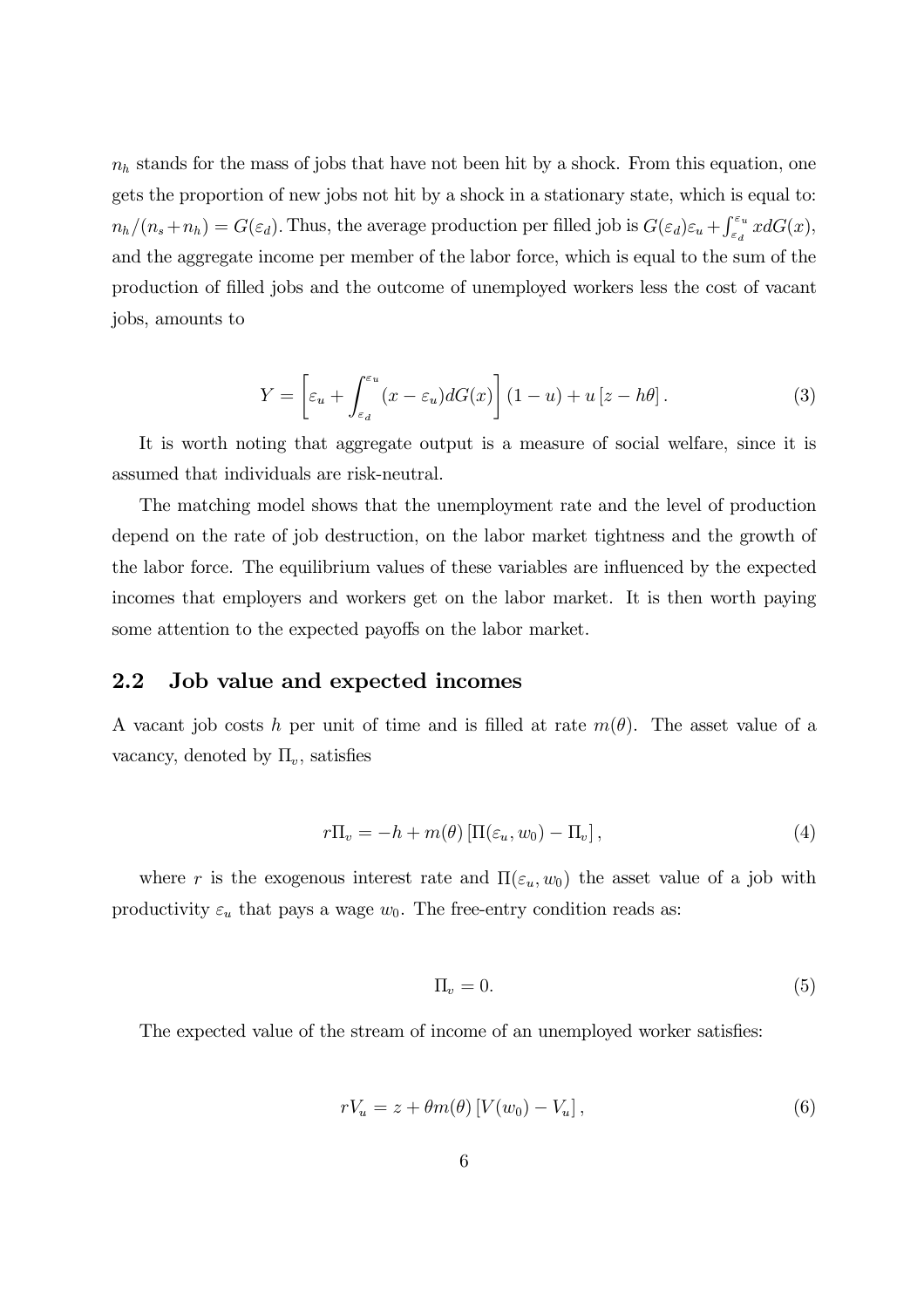$n_h$  stands for the mass of jobs that have not been hit by a shock. From this equation, one gets the proportion of new jobs not hit by a shock in a stationary state, which is equal to:  $n_h/(n_s+n_h) = G(\varepsilon_d)$ . Thus, the average production per filled job is  $G(\varepsilon_d)\varepsilon_u + \int_{\varepsilon_d}^{\varepsilon_u} x dG(x)$ , and the aggregate income per member of the labor force, which is equal to the sum of the production of filled jobs and the outcome of unemployed workers less the cost of vacant jobs, amounts to

$$
Y = \left[\varepsilon_u + \int_{\varepsilon_d}^{\varepsilon_u} (x - \varepsilon_u) dG(x)\right] (1 - u) + u\left[z - h\theta\right].\tag{3}
$$

It is worth noting that aggregate output is a measure of social welfare, since it is assumed that individuals are risk-neutral.

The matching model shows that the unemployment rate and the level of production depend on the rate of job destruction, on the labor market tightness and the growth of the labor force. The equilibrium values of these variables are influenced by the expected incomes that employers and workers get on the labor market. It is then worth paying some attention to the expected payoffs on the labor market.

#### $2.2$ Job value and expected incomes

A vacant job costs h per unit of time and is filled at rate  $m(\theta)$ . The asset value of a vacancy, denoted by  $\Pi_v$ , satisfies

$$
r\Pi_v = -h + m(\theta) \left[ \Pi(\varepsilon_u, w_0) - \Pi_v \right], \tag{4}
$$

where r is the exogenous interest rate and  $\Pi(\varepsilon_u, w_0)$  the asset value of a job with productivity  $\varepsilon_u$  that pays a wage  $w_0$ . The free-entry condition reads as:

$$
\Pi_v = 0. \tag{5}
$$

The expected value of the stream of income of an unemployed worker satisfies:

$$
rV_u = z + \theta m(\theta) \left[ V(w_0) - V_u \right],\tag{6}
$$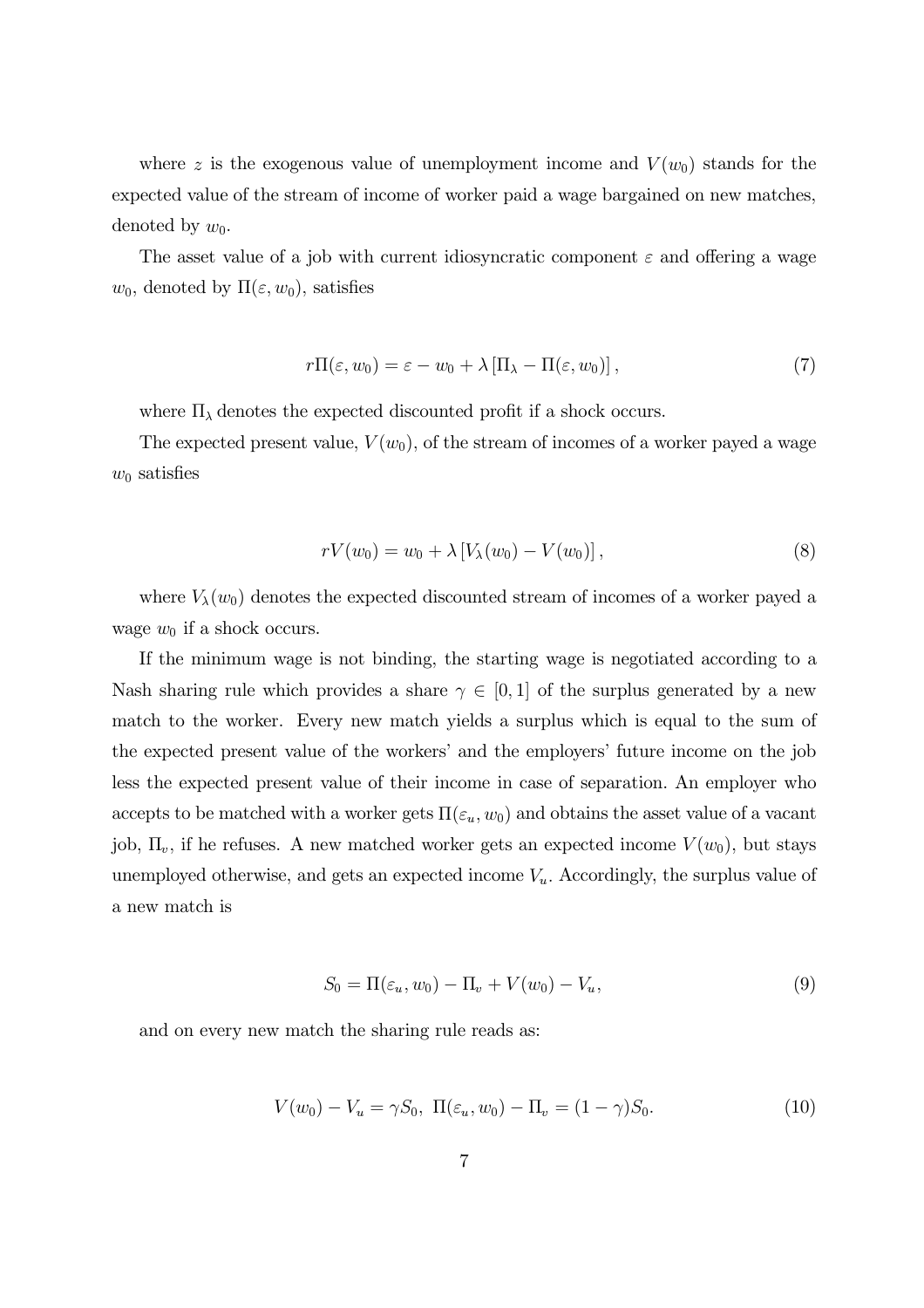where z is the exogenous value of unemployment income and  $V(w_0)$  stands for the expected value of the stream of income of worker paid a wage bargained on new matches, denoted by  $w_0$ .

The asset value of a job with current idiosyncratic component  $\varepsilon$  and offering a wage  $w_0$ , denoted by  $\Pi(\varepsilon, w_0)$ , satisfies

$$
r\Pi(\varepsilon, w_0) = \varepsilon - w_0 + \lambda \left[\Pi_\lambda - \Pi(\varepsilon, w_0)\right],\tag{7}
$$

where  $\Pi_{\lambda}$  denotes the expected discounted profit if a shock occurs.

The expected present value,  $V(w_0)$ , of the stream of incomes of a worker payed a wage  $w_0$  satisfies

$$
rV(w_0) = w_0 + \lambda \left[ V_{\lambda}(w_0) - V(w_0) \right], \tag{8}
$$

where  $V_{\lambda}(w_0)$  denotes the expected discounted stream of incomes of a worker payed a wage  $w_0$  if a shock occurs.

If the minimum wage is not binding, the starting wage is negotiated according to a Nash sharing rule which provides a share  $\gamma \in [0,1]$  of the surplus generated by a new match to the worker. Every new match yields a surplus which is equal to the sum of the expected present value of the workers' and the employers' future income on the job less the expected present value of their income in case of separation. An employer who accepts to be matched with a worker gets  $\Pi(\varepsilon_u, w_0)$  and obtains the asset value of a vacant job,  $\Pi_v$ , if he refuses. A new matched worker gets an expected income  $V(w_0)$ , but stays unemployed otherwise, and gets an expected income  $V_u$ . Accordingly, the surplus value of a new match is

$$
S_0 = \Pi(\varepsilon_u, w_0) - \Pi_v + V(w_0) - V_u,\tag{9}
$$

and on every new match the sharing rule reads as:

$$
V(w_0) - V_u = \gamma S_0, \ \Pi(\varepsilon_u, w_0) - \Pi_v = (1 - \gamma)S_0.
$$
 (10)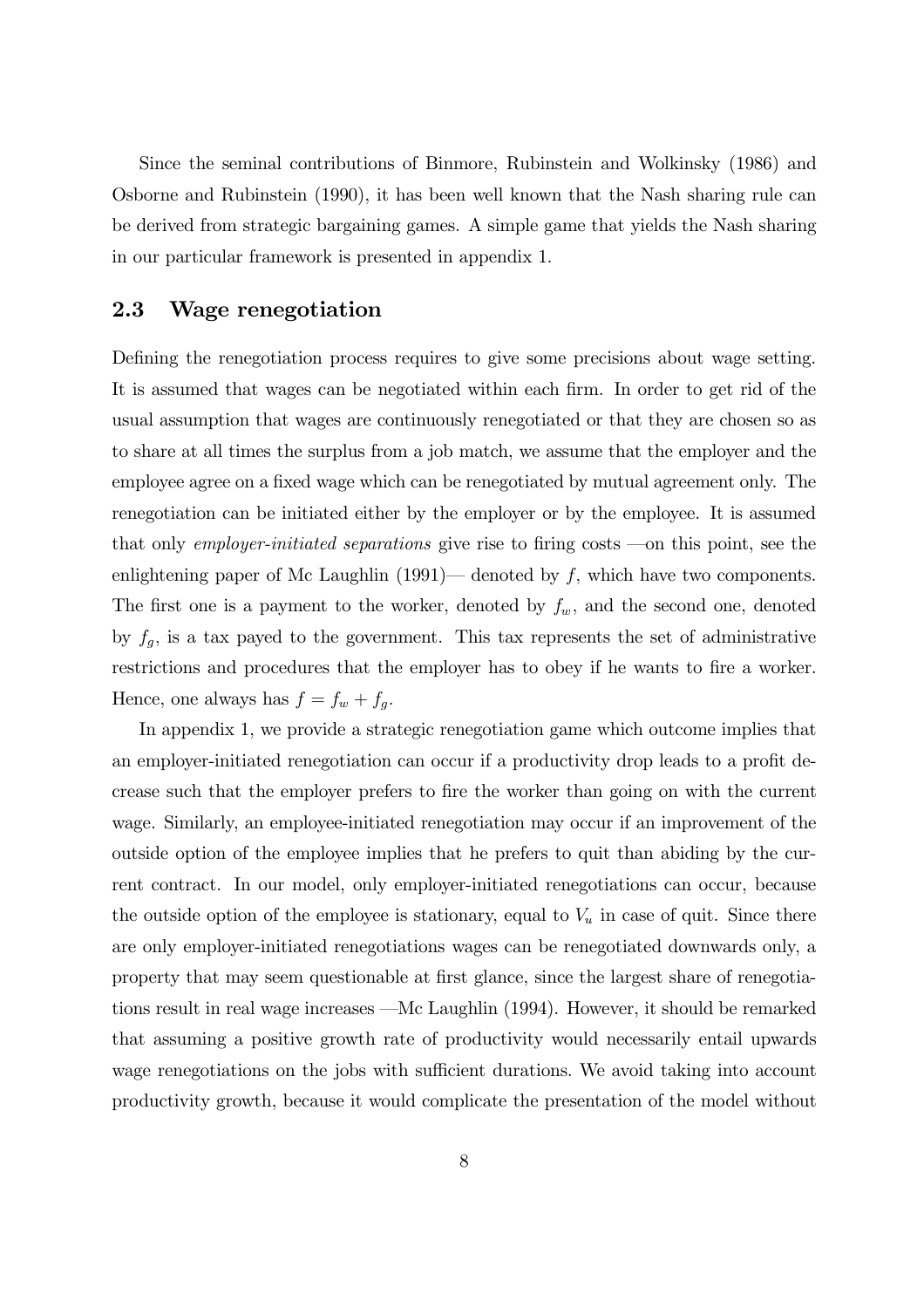Since the seminal contributions of Binmore, Rubinstein and Wolkinsky (1986) and Osborne and Rubinstein (1990), it has been well known that the Nash sharing rule can be derived from strategic bargaining games. A simple game that yields the Nash sharing in our particular framework is presented in appendix 1.

#### 2.3 Wage renegotiation

Defining the renegotiation process requires to give some precisions about wage setting. It is assumed that wages can be negotiated within each firm. In order to get rid of the usual assumption that wages are continuously renegotiated or that they are chosen so as to share at all times the surplus from a job match, we assume that the employer and the employee agree on a fixed wage which can be renegotiated by mutual agreement only. The renegotiation can be initiated either by the employer or by the employee. It is assumed that only *employer-initiated separations* give rise to firing costs —on this point, see the enlightening paper of Mc Laughlin  $(1991)$ — denoted by f, which have two components. The first one is a payment to the worker, denoted by  $f_w$ , and the second one, denoted by  $f_g$ , is a tax payed to the government. This tax represents the set of administrative restrictions and procedures that the employer has to obey if he wants to fire a worker. Hence, one always has  $f = f_w + f_g$ .

In appendix 1, we provide a strategic renegotiation game which outcome implies that an employer-initiated renegotiation can occur if a productivity drop leads to a profit decrease such that the employer prefers to fire the worker than going on with the current wage. Similarly, an employee-initiated renegotiation may occur if an improvement of the outside option of the employee implies that he prefers to quit than abiding by the current contract. In our model, only employer-initiated renegotiations can occur, because the outside option of the employee is stationary, equal to  $V_u$  in case of quit. Since there are only employer-initiated renegotiations wages can be renegotiated downwards only, a property that may seem questionable at first glance, since the largest share of renegotiations result in real wage increases —Mc Laughlin (1994). However, it should be remarked that assuming a positive growth rate of productivity would necessarily entail upwards wage renegotiations on the jobs with sufficient durations. We avoid taking into account productivity growth, because it would complicate the presentation of the model without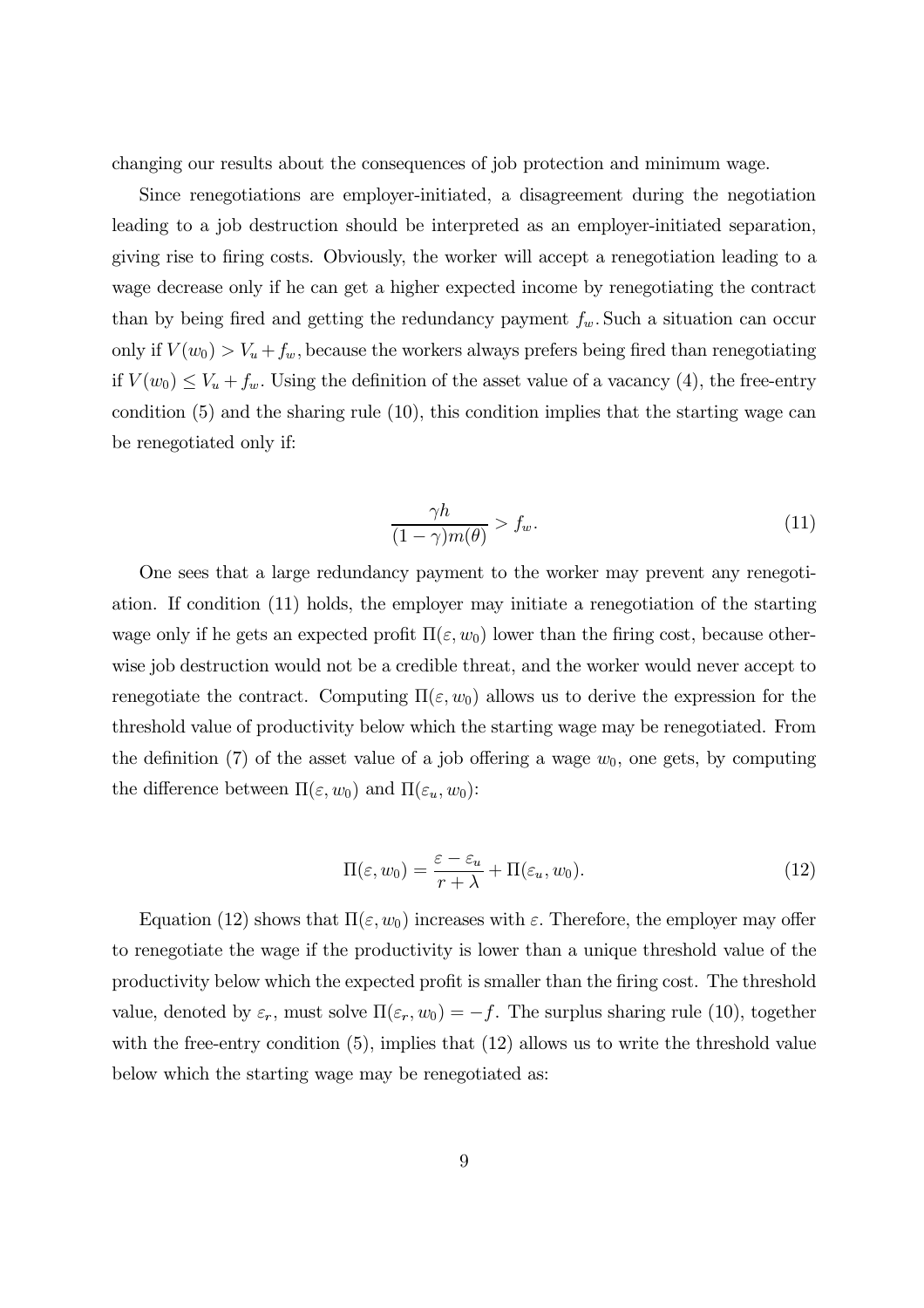changing our results about the consequences of job protection and minimum wage.

Since renegotiations are employer-initiated, a disagreement during the negotiation leading to a job destruction should be interpreted as an employer-initiated separation, giving rise to firing costs. Obviously, the worker will accept a renegotiation leading to a wage decrease only if he can get a higher expected income by renegotiating the contract than by being fired and getting the redundancy payment  $f_w$ . Such a situation can occur only if  $V(w_0) > V_u + f_w$ , because the workers always prefers being fired than renegotiating if  $V(w_0) \leq V_u + f_w$ . Using the definition of the asset value of a vacancy (4), the free-entry condition  $(5)$  and the sharing rule  $(10)$ , this condition implies that the starting wage can be renegotiated only if:

$$
\frac{\gamma h}{(1-\gamma)m(\theta)} > f_w.
$$
\n(11)

One sees that a large redundancy payment to the worker may prevent any renegotiation. If condition  $(11)$  holds, the employer may initiate a renegotiation of the starting wage only if he gets an expected profit  $\Pi(\varepsilon, w_0)$  lower than the firing cost, because otherwise job destruction would not be a credible threat, and the worker would never accept to renegotiate the contract. Computing  $\Pi(\varepsilon, w_0)$  allows us to derive the expression for the three show value of productivity below which the starting wage may be renegotiated. From the definition (7) of the asset value of a job offering a wage  $w_0$ , one gets, by computing the difference between  $\Pi(\varepsilon, w_0)$  and  $\Pi(\varepsilon_u, w_0)$ :

$$
\Pi(\varepsilon, w_0) = \frac{\varepsilon - \varepsilon_u}{r + \lambda} + \Pi(\varepsilon_u, w_0).
$$
\n(12)

Equation (12) shows that  $\Pi(\varepsilon, w_0)$  increases with  $\varepsilon$ . Therefore, the employer may offer to renegotiate the wage if the productivity is lower than a unique threshold value of the productivity below which the expected profit is smaller than the firing cost. The threshold value, denoted by  $\varepsilon_r$ , must solve  $\Pi(\varepsilon_r, w_0) = -f$ . The surplus sharing rule (10), together with the free-entry condition  $(5)$ , implies that  $(12)$  allows us to write the threshold value below which the starting wage may be renegotiated as: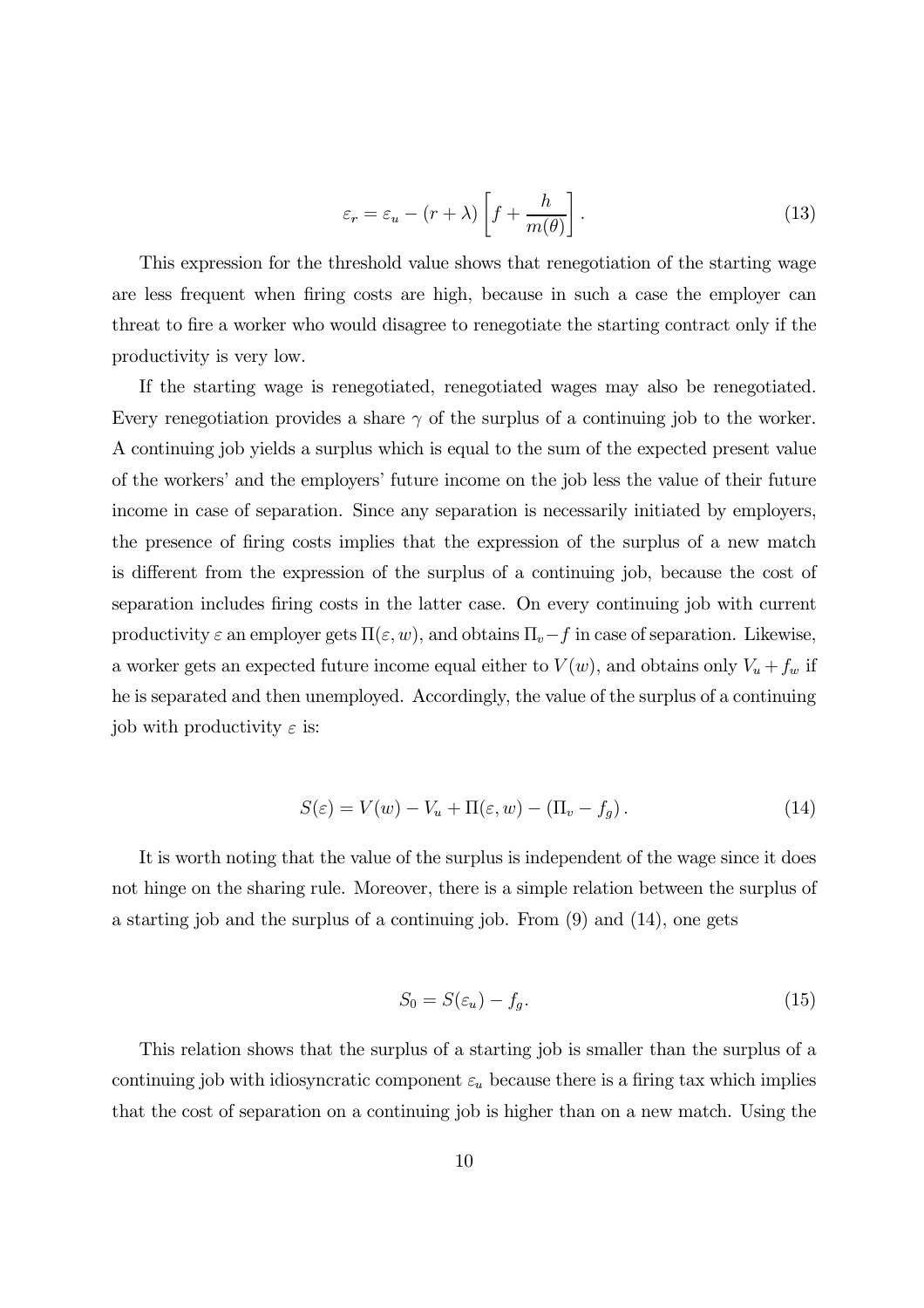$$
\varepsilon_r = \varepsilon_u - (r + \lambda) \left[ f + \frac{h}{m(\theta)} \right]. \tag{13}
$$

This expression for the threshold value shows that renegotiation of the starting wage are less frequent when firing costs are high, because in such a case the employer can threat to fire a worker who would disagree to renegotiate the starting contract only if the productivity is very low.

If the starting wage is renegotiated, renegotiated wages may also be renegotiated. Every renegotiation provides a share  $\gamma$  of the surplus of a continuing job to the worker. A continuing job yields a surplus which is equal to the sum of the expected present value of the workers' and the employers' future income on the job less the value of their future income in case of separation. Since any separation is necessarily initiated by employers, the presence of firing costs implies that the expression of the surplus of a new match is different from the expression of the surplus of a continuing job, because the cost of separation includes firing costs in the latter case. On every continuing job with current productivity  $\varepsilon$  an employer gets  $\Pi(\varepsilon, w)$ , and obtains  $\Pi_v - f$  in case of separation. Likewise, a worker gets an expected future income equal either to  $V(w)$ , and obtains only  $V_u + f_w$  if he is separated and then unemployed. Accordingly, the value of the surplus of a continuing job with productivity  $\varepsilon$  is:

$$
S(\varepsilon) = V(w) - V_u + \Pi(\varepsilon, w) - (\Pi_v - f_g). \tag{14}
$$

It is worth noting that the value of the surplus is independent of the wage since it does not hinge on the sharing rule. Moreover, there is a simple relation between the surplus of a starting job and the surplus of a continuing job. From  $(9)$  and  $(14)$ , one gets

$$
S_0 = S(\varepsilon_u) - f_g. \tag{15}
$$

This relation shows that the surplus of a starting job is smaller than the surplus of a continuing job with idiosyncratic component  $\varepsilon_u$  because there is a firing tax which implies that the cost of separation on a continuing job is higher than on a new match. Using the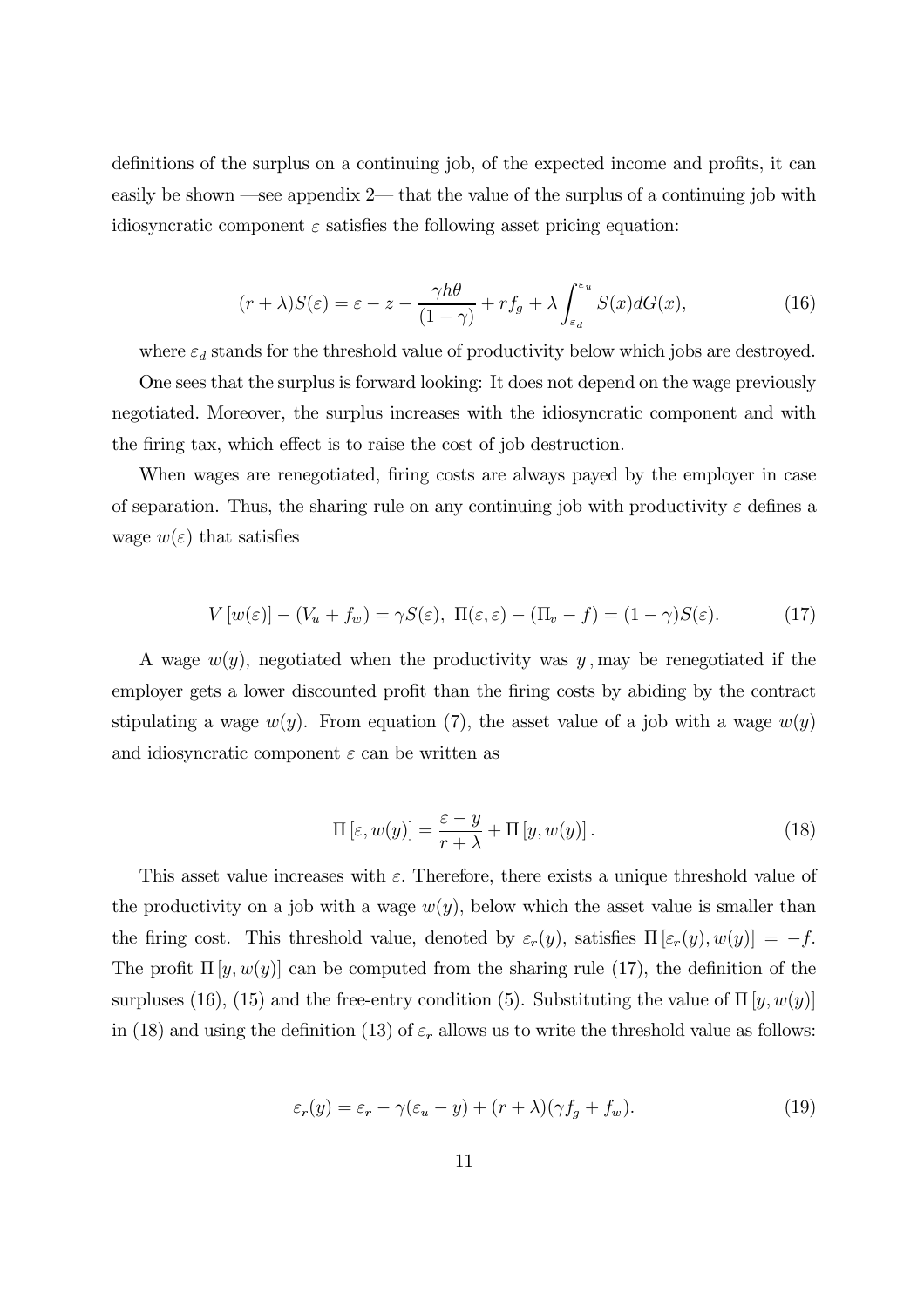definitions of the surplus on a continuing job, of the expected income and profits, it can easily be shown —see appendix 2— that the value of the surplus of a continuing job with idiosyncratic component  $\varepsilon$  satisfies the following asset pricing equation:

$$
(r+\lambda)S(\varepsilon) = \varepsilon - z - \frac{\gamma h\theta}{(1-\gamma)} + rf_g + \lambda \int_{\varepsilon_d}^{\varepsilon_u} S(x) dG(x),\tag{16}
$$

where  $\varepsilon_d$  stands for the threshold value of productivity below which jobs are destroyed.

One sees that the surplus is forward looking: It does not depend on the wage previously negotiated. Moreover, the surplus increases with the idiosyncratic component and with the firing tax, which effect is to raise the cost of job destruction.

When wages are renegotiated, firing costs are always payed by the employer in case of separation. Thus, the sharing rule on any continuing job with productivity  $\varepsilon$  defines a wage  $w(\varepsilon)$  that satisfies

$$
V[w(\varepsilon)] - (V_u + f_w) = \gamma S(\varepsilon), \ \Pi(\varepsilon, \varepsilon) - (\Pi_v - f) = (1 - \gamma)S(\varepsilon). \tag{17}
$$

A wage  $w(y)$ , negotiated when the productivity was y, may be renegotiated if the employer gets a lower discounted profit than the firing costs by abiding by the contract stipulating a wage  $w(y)$ . From equation (7), the asset value of a job with a wage  $w(y)$ and idiosyncratic component  $\varepsilon$  can be written as

$$
\Pi\left[\varepsilon, w(y)\right] = \frac{\varepsilon - y}{r + \lambda} + \Pi\left[y, w(y)\right].\tag{18}
$$

This asset value increases with  $\varepsilon$ . Therefore, there exists a unique threshold value of the productivity on a job with a wage  $w(y)$ , below which the asset value is smaller than the firing cost. This threshold value, denoted by  $\varepsilon_r(y)$ , satisfies  $\Pi\left[\varepsilon_r(y), w(y)\right] = -f$ . The profit  $\Pi[y, w(y)]$  can be computed from the sharing rule (17), the definition of the surpluses (16), (15) and the free-entry condition (5). Substituting the value of  $\Pi[y, w(y)]$ in (18) and using the definition (13) of  $\varepsilon_r$  allows us to write the threshold value as follows:

$$
\varepsilon_r(y) = \varepsilon_r - \gamma(\varepsilon_u - y) + (r + \lambda)(\gamma f_g + f_w). \tag{19}
$$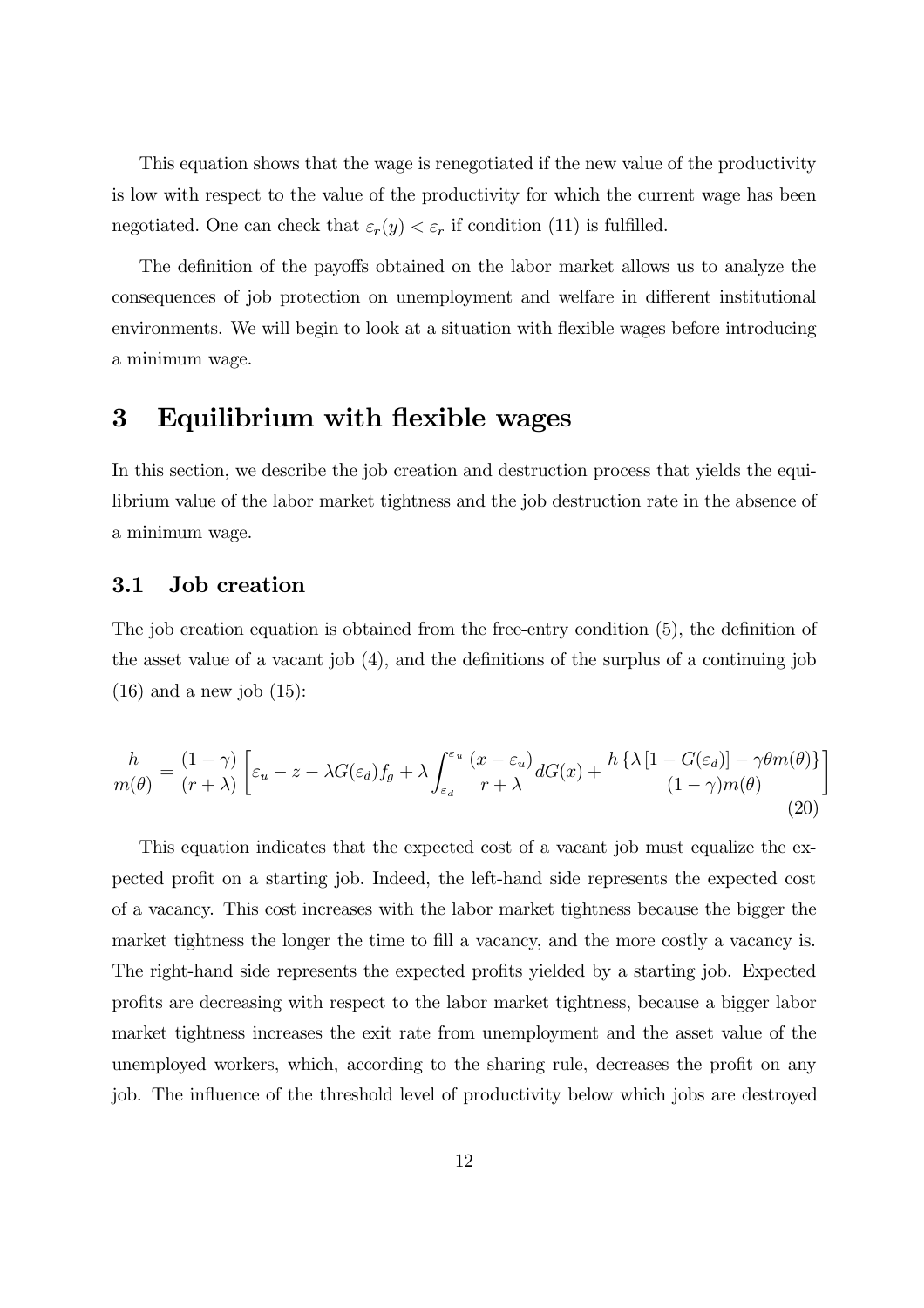This equation shows that the wage is renegotiated if the new value of the productivity is low with respect to the value of the productivity for which the current wage has been negotiated. One can check that  $\varepsilon_r(y) < \varepsilon_r$  if condition (11) is fulfilled.

The definition of the payoffs obtained on the labor market allows us to analyze the consequences of job protection on unemployment and welfare in different institutional environments. We will begin to look at a situation with flexible wages before introducing a minimum wage.

#### Equilibrium with flexible wages  $\bf{3}$

In this section, we describe the job creation and destruction process that yields the equilibrium value of the labor market tightness and the job destruction rate in the absence of a minimum wage.

#### 3.1 **Job** creation

The job creation equation is obtained from the free-entry condition  $(5)$ , the definition of the asset value of a vacant job  $(4)$ , and the definitions of the surplus of a continuing job  $(16)$  and a new job  $(15)$ :

$$
\frac{h}{m(\theta)} = \frac{(1-\gamma)}{(r+\lambda)} \left[ \varepsilon_u - z - \lambda G(\varepsilon_d) f_g + \lambda \int_{\varepsilon_d}^{\varepsilon_u} \frac{(x-\varepsilon_u)}{r+\lambda} dG(x) + \frac{h\left\{ \lambda \left[ 1 - G(\varepsilon_d) \right] - \gamma \theta m(\theta) \right\}}{(1-\gamma)m(\theta)} \right]
$$
\n(20)

This equation indicates that the expected cost of a vacant job must equalize the expected profit on a starting job. Indeed, the left-hand side represents the expected cost of a vacancy. This cost increases with the labor market tightness because the bigger the market tightness the longer the time to fill a vacancy, and the more costly a vacancy is. The right-hand side represents the expected profits yielded by a starting job. Expected profits are decreasing with respect to the labor market tightness, because a bigger labor market tightness increases the exit rate from unemployment and the asset value of the unemployed workers, which, according to the sharing rule, decreases the profit on any job. The influence of the threshold level of productivity below which jobs are destroyed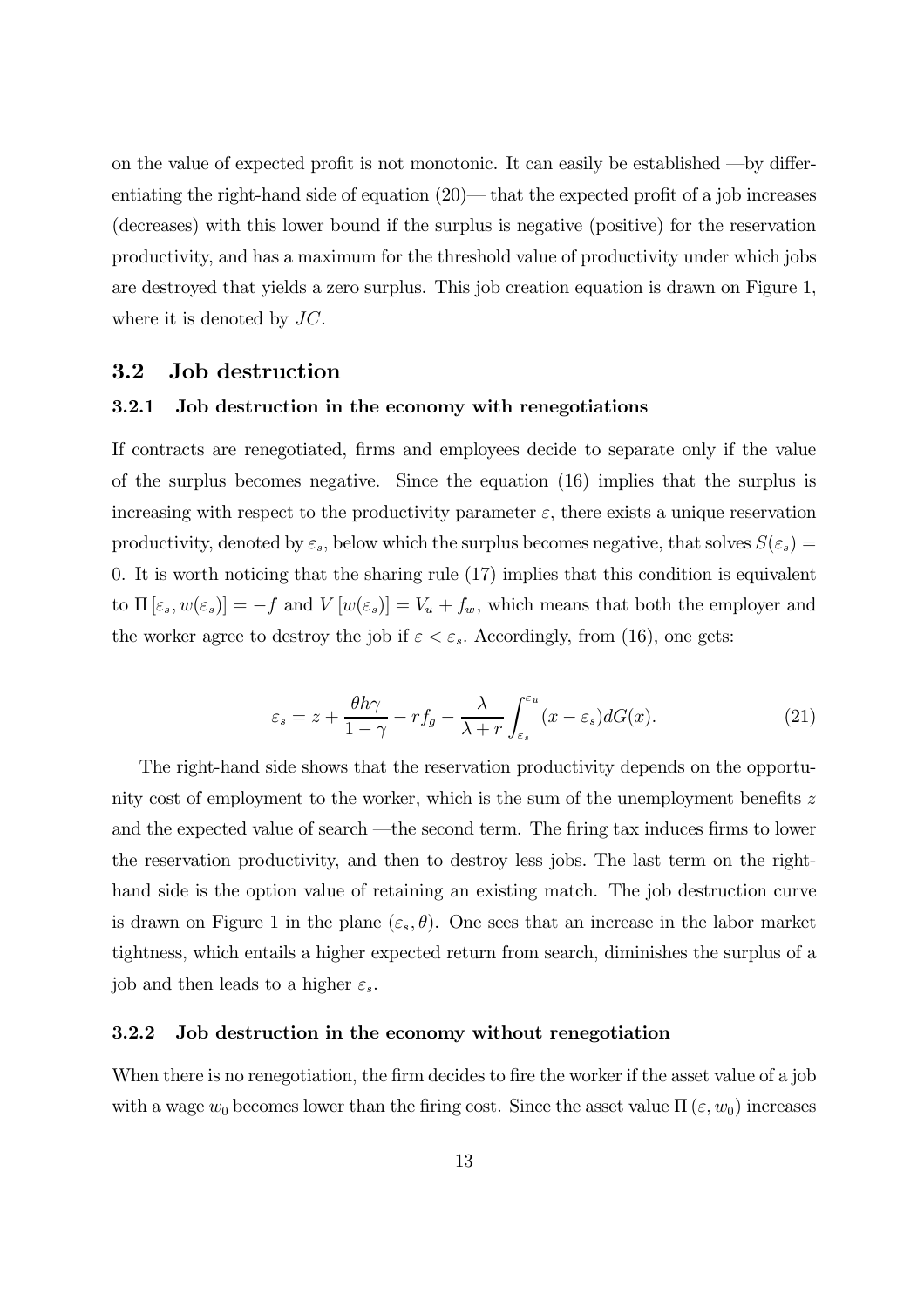on the value of expected profit is not monotonic. It can easily be established —by differentiating the right-hand side of equation  $(20)$ — that the expected profit of a job increases  $(\text{decreases})$  with this lower bound if the surplus is negative (positive) for the reservation productivity, and has a maximum for the threshold value of productivity under which jobs are destroyed that yields a zero surplus. This job creation equation is drawn on Figure 1, where it is denoted by  $JC$ .

# 3.2 Job destruction

## 3.2.1 Job destruction in the economy with renegotiations

If contracts are renegotiated, firms and employees decide to separate only if the value of the surplus becomes negative. Since the equation  $(16)$  implies that the surplus is increasing with respect to the productivity parameter  $\varepsilon$ , there exists a unique reservation productivity, denoted by  $\varepsilon_s$ , below which the surplus becomes negative, that solves  $S(\varepsilon_s)$  = 0. It is worth noticing that the sharing rule  $(17)$  implies that this condition is equivalent to  $\Pi\left[\varepsilon_s, w(\varepsilon_s)\right] = -f$  and  $V\left[w(\varepsilon_s)\right] = V_u + f_w$ , which means that both the employer and the worker agree to destroy the job if  $\varepsilon < \varepsilon_s$ . Accordingly, from (16), one gets:

$$
\varepsilon_s = z + \frac{\theta h \gamma}{1 - \gamma} - r f_g - \frac{\lambda}{\lambda + r} \int_{\varepsilon_s}^{\varepsilon_u} (x - \varepsilon_s) dG(x). \tag{21}
$$

The right-hand side shows that the reservation productivity depends on the opportunity cost of employment to the worker, which is the sum of the unemployment benefits  $z$ and the expected value of search —the second term. The firing tax induces firms to lower the reservation productivity, and then to destroy less jobs. The last term on the righthand side is the option value of retaining an existing match. The job destruction curve is drawn on Figure 1 in the plane  $(\varepsilon_s, \theta)$ . One sees that an increase in the labor market tightness, which entails a higher expected return from search, diminishes the surplus of a job and then leads to a higher  $\varepsilon_s$ .

## 3.2.2 Job destruction in the economy without renegotiation

When there is no renegotiation, the firm decides to fire the worker if the asset value of a job with a wage  $w_0$  becomes lower than the firing cost. Since the asset value  $\Pi(\varepsilon, w_0)$  increases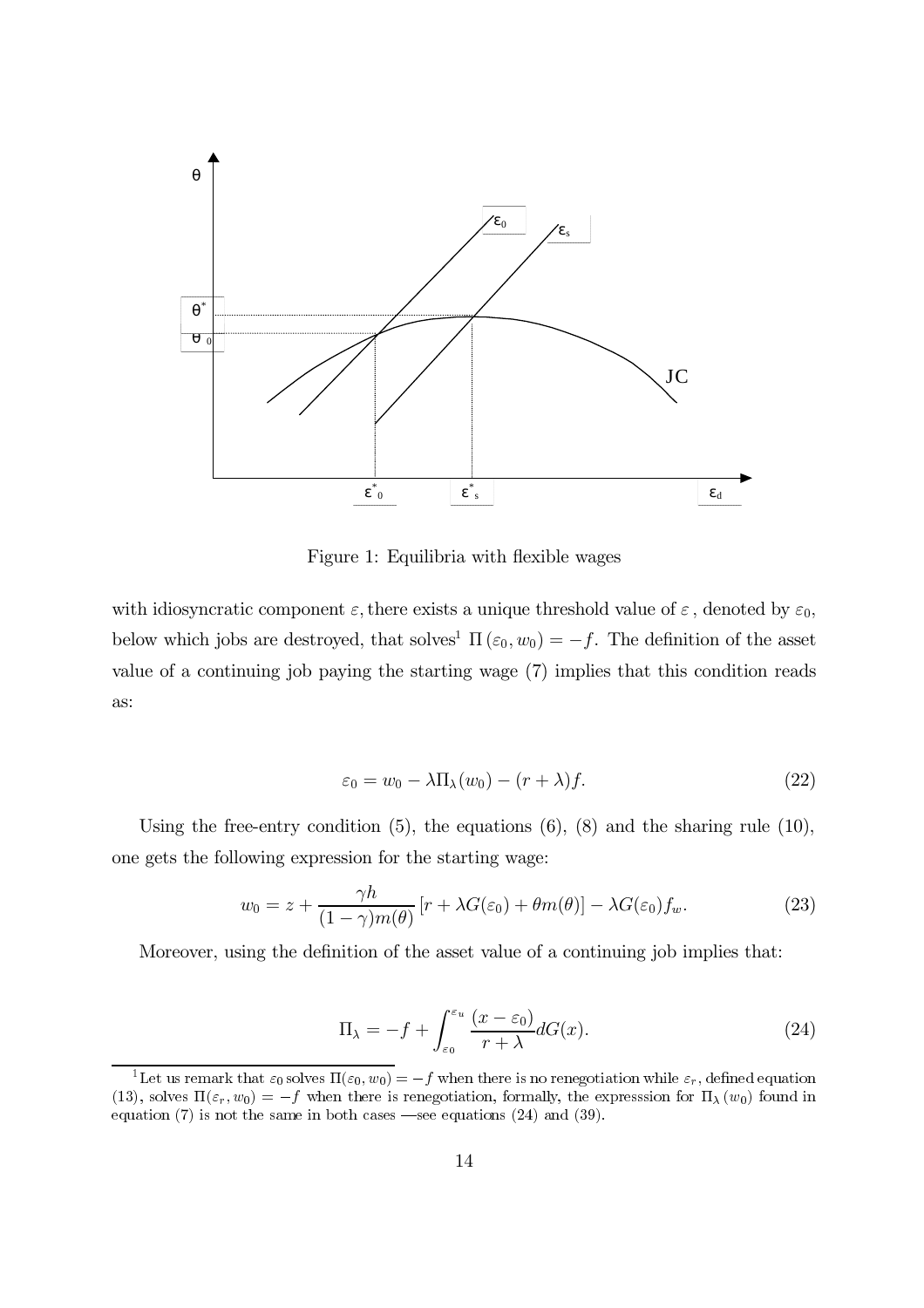

Figure 1: Equilibria with flexible wages

with idiosyncratic component  $\varepsilon$ , there exists a unique threshold value of  $\varepsilon$ , denoted by  $\varepsilon_0$ , below which jobs are destroyed, that solves<sup>1</sup>  $\Pi(\varepsilon_0, w_0) = -f$ . The definition of the asset value of a continuing job paying the starting wage (7) implies that this condition reads as:

$$
\varepsilon_0 = w_0 - \lambda \Pi_\lambda(w_0) - (r + \lambda)f. \tag{22}
$$

Using the free-entry condition  $(5)$ , the equations  $(6)$ ,  $(8)$  and the sharing rule  $(10)$ , one gets the following expression for the starting wage:

$$
w_0 = z + \frac{\gamma h}{(1 - \gamma)m(\theta)} \left[ r + \lambda G(\varepsilon_0) + \theta m(\theta) \right] - \lambda G(\varepsilon_0) f_w.
$$
 (23)

Moreover, using the definition of the asset value of a continuing job implies that:

$$
\Pi_{\lambda} = -f + \int_{\varepsilon_0}^{\varepsilon_u} \frac{(x - \varepsilon_0)}{r + \lambda} dG(x). \tag{24}
$$

<sup>&</sup>lt;sup>1</sup>Let us remark that  $\varepsilon_0$  solves  $\Pi(\varepsilon_0, w_0) = -f$  when there is no renegotiation while  $\varepsilon_r$ , defined equation (13), solves  $\Pi(\varepsilon_r, w_0) = -f$  when there is renegotiation, formally, the expression for  $\Pi_{\lambda}(w_0)$  found in equation  $(7)$  is not the same in both cases —see equations  $(24)$  and  $(39)$ .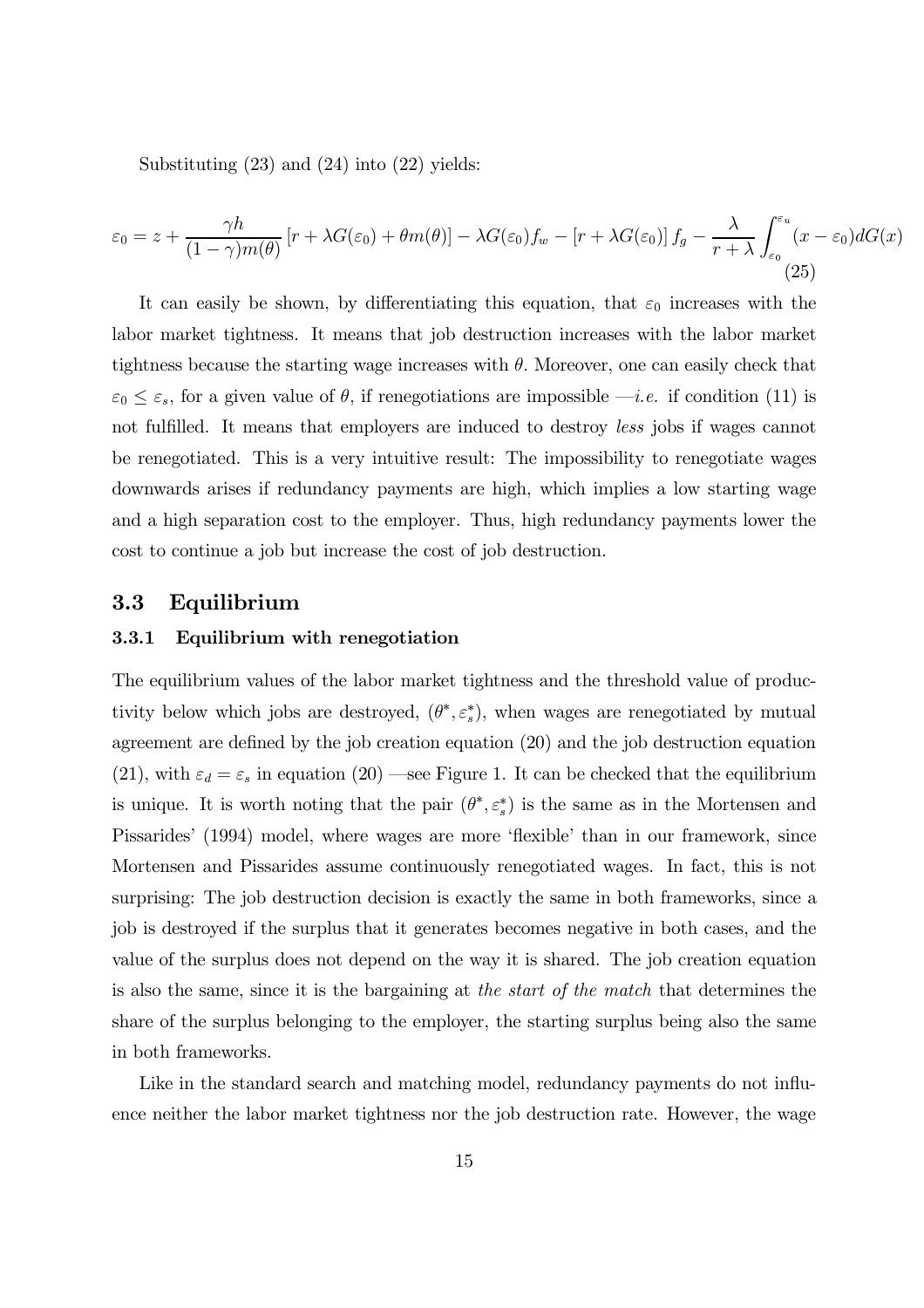Substituting  $(23)$  and  $(24)$  into  $(22)$  yields:

$$
\varepsilon_0 = z + \frac{\gamma h}{(1 - \gamma)m(\theta)} \left[ r + \lambda G(\varepsilon_0) + \theta m(\theta) \right] - \lambda G(\varepsilon_0) f_w - \left[ r + \lambda G(\varepsilon_0) \right] f_g - \frac{\lambda}{r + \lambda} \int_{\varepsilon_0}^{\varepsilon_u} (x - \varepsilon_0) dG(x) \tag{25}
$$

It can easily be shown, by differentiating this equation, that  $\varepsilon_0$  increases with the labor market tightness. It means that job destruction increases with the labor market tightness because the starting wage increases with  $\theta$ . Moreover, one can easily check that  $\varepsilon_0 \leq \varepsilon_s$ , for a given value of  $\theta$ , if renegotiations are impossible —*i.e.* if condition (11) is not fulfilled. It means that employers are induced to destroy less jobs if wages cannot be renegotiated. This is a very intuitive result: The impossibility to renegotiate wages downwards arises if redundancy payments are high, which implies a low starting wage and a high separation cost to the employer. Thus, high redundancy payments lower the cost to continue a job but increase the cost of job destruction.

#### 3.3 Equilibrium

#### 3.3.1 Equilibrium with renegotiation

The equilibrium values of the labor market tightness and the threshold value of productivity below which jobs are destroyed,  $(\theta^*, \varepsilon_s^*)$ , when wages are renegotiated by mutual agreement are defined by the job creation equation  $(20)$  and the job destruction equation (21), with  $\varepsilon_d = \varepsilon_s$  in equation (20) —see Figure 1. It can be checked that the equilibrium is unique. It is worth noting that the pair  $(\theta^*, \varepsilon^*)$  is the same as in the Mortensen and Pissarides' (1994) model, where wages are more 'flexible' than in our framework, since Mortensen and Pissarides assume continuously renegotiated wages. In fact, this is not surprising: The job destruction decision is exactly the same in both frameworks, since a job is destroyed if the surplus that it generates becomes negative in both cases, and the value of the surplus does not depend on the way it is shared. The job creation equation is also the same, since it is the bargaining at the start of the match that determines the share of the surplus belonging to the employer, the starting surplus being also the same in both frameworks.

Like in the standard search and matching model, redundancy payments do not influence neither the labor market tightness nor the job destruction rate. However, the wage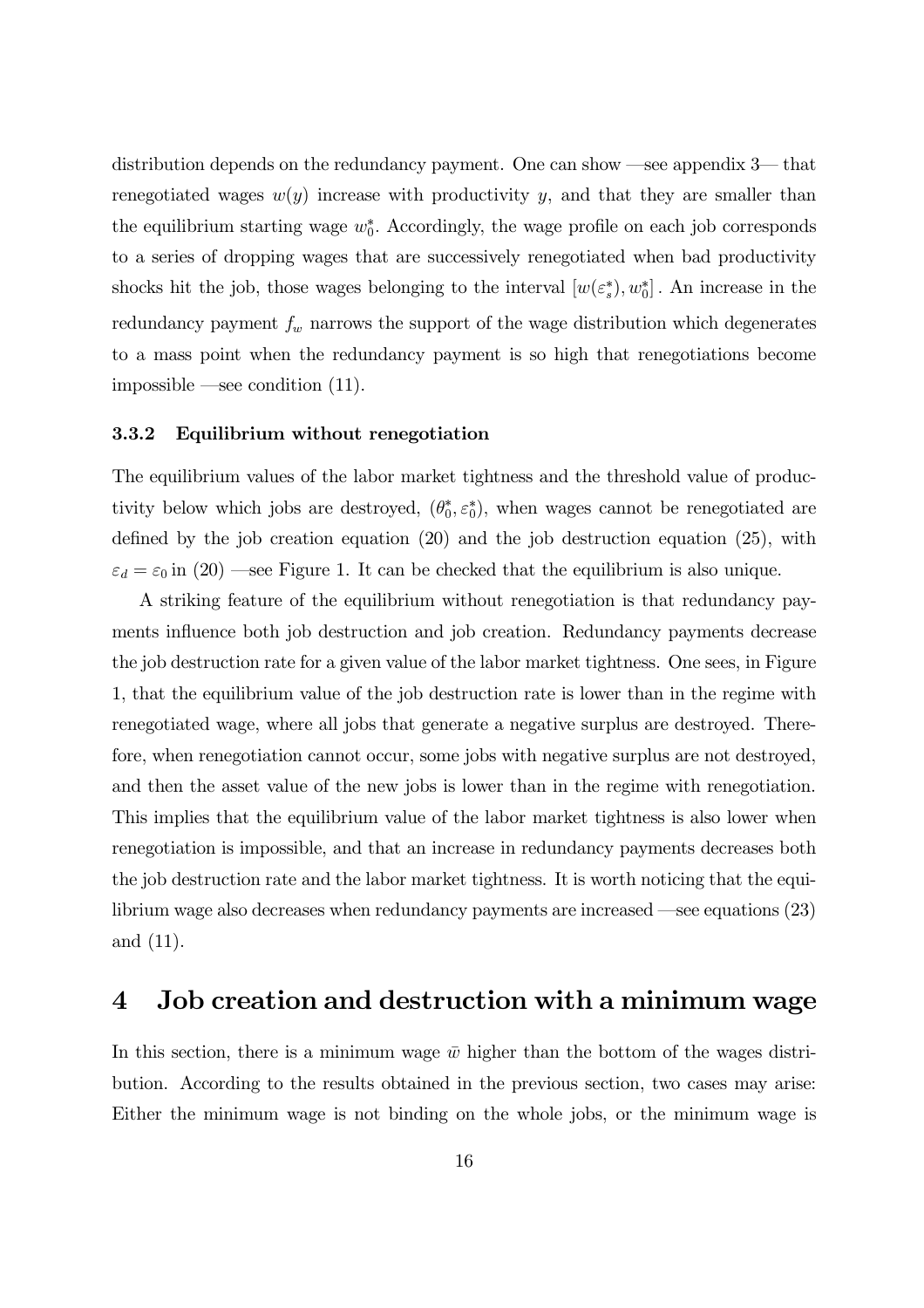distribution depends on the redundancy payment. One can show –see appendix 3— that renegotiated wages  $w(y)$  increase with productivity y, and that they are smaller than the equilibrium starting wage  $w_0^*$ . Accordingly, the wage profile on each job corresponds to a series of dropping wages that are successively renegotiated when bad productivity shocks hit the job, those wages belonging to the interval  $[w(\varepsilon_s^*), w_0^*]$ . An increase in the redundancy payment  $f_w$  narrows the support of the wage distribution which degenerates to a mass point when the redundancy payment is so high that renegotiations become impossible —see condition  $(11)$ .

#### 3.3.2 Equilibrium without renegotiation

The equilibrium values of the labor market tightness and the threshold value of productivity below which jobs are destroyed,  $(\theta_0^*, \varepsilon_0^*)$ , when wages cannot be renegotiated are defined by the job creation equation  $(20)$  and the job destruction equation  $(25)$ , with  $\varepsilon_d = \varepsilon_0$  in (20) —see Figure 1. It can be checked that the equilibrium is also unique.

A striking feature of the equilibrium without renegotiation is that redundancy payments influence both job destruction and job creation. Redundancy payments decrease the job destruction rate for a given value of the labor market tightness. One sees, in Figure 1, that the equilibrium value of the job destruction rate is lower than in the regime with renegotiated wage, where all jobs that generate a negative surplus are destroyed. Therefore, when renegotiation cannot occur, some jobs with negative surplus are not destroyed, and then the asset value of the new jobs is lower than in the regime with renegotiation. This implies that the equilibrium value of the labor market tightness is also lower when renegotiation is impossible, and that an increase in redundancy payments decreases both the job destruction rate and the labor market tightness. It is worth noticing that the equilibrium wage also decreases when redundancy payments are increased —see equations  $(23)$ and  $(11)$ .

#### Job creation and destruction with a minimum wage  $\boldsymbol{4}$

In this section, there is a minimum wage  $\bar{w}$  higher than the bottom of the wages distribution. According to the results obtained in the previous section, two cases may arise: Either the minimum wage is not binding on the whole jobs, or the minimum wage is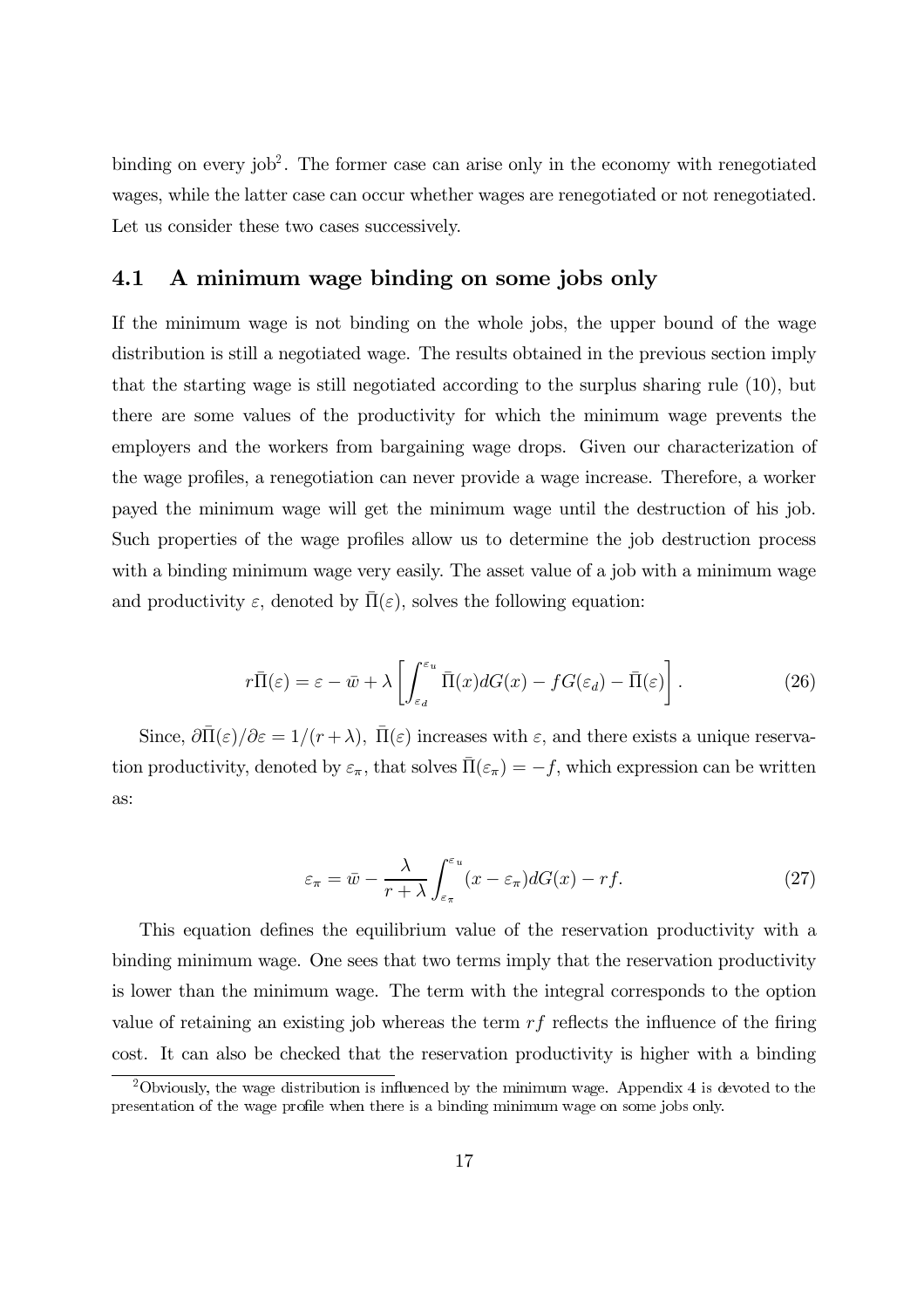binding on every job<sup>2</sup>. The former case can arise only in the economy with renegotiated wages, while the latter case can occur whether wages are renegotiated or not renegotiated. Let us consider these two cases successively.

# 4.1 A minimum wage binding on some jobs only

If the minimum wage is not binding on the whole jobs, the upper bound of the wage distribution is still a negotiated wage. The results obtained in the previous section imply that the starting wage is still negotiated according to the surplus sharing rule  $(10)$ , but there are some values of the productivity for which the minimum wage prevents the employers and the workers from bargaining wage drops. Given our characterization of the wage profiles, a renegotiation can never provide a wage increase. Therefore, a worker payed the minimum wage will get the minimum wage until the destruction of his job. Such properties of the wage profiles allow us to determine the job destruction process with a binding minimum wage very easily. The asset value of a job with a minimum wage and productivity  $\varepsilon$ , denoted by  $\overline{\Pi}(\varepsilon)$ , solves the following equation:

$$
r\bar{\Pi}(\varepsilon) = \varepsilon - \bar{w} + \lambda \left[ \int_{\varepsilon_d}^{\varepsilon_u} \bar{\Pi}(x) dG(x) - f G(\varepsilon_d) - \bar{\Pi}(\varepsilon) \right]. \tag{26}
$$

Since,  $\partial \overline{\Pi}(\varepsilon)/\partial \varepsilon = 1/(r+\lambda)$ ,  $\overline{\Pi}(\varepsilon)$  increases with  $\varepsilon$ , and there exists a unique reservation productivity, denoted by  $\varepsilon_{\pi}$ , that solves  $\bar{\Pi}(\varepsilon_{\pi}) = -f$ , which expression can be written as:

$$
\varepsilon_{\pi} = \bar{w} - \frac{\lambda}{r + \lambda} \int_{\varepsilon_{\pi}}^{\varepsilon_u} (x - \varepsilon_{\pi}) dG(x) - rf. \tag{27}
$$

This equation defines the equilibrium value of the reservation productivity with a binding minimum wage. One sees that two terms imply that the reservation productivity is lower than the minimum wage. The term with the integral corresponds to the option value of retaining an existing job whereas the term  $rf$  reflects the influence of the firing cost. It can also be checked that the reservation productivity is higher with a binding

 $\overline{^{2}$ Obviously, the wage distribution is influenced by the minimum wage. Appendix 4 is devoted to the presentation of the wage profile when there is a binding minimum wage on some jobs only.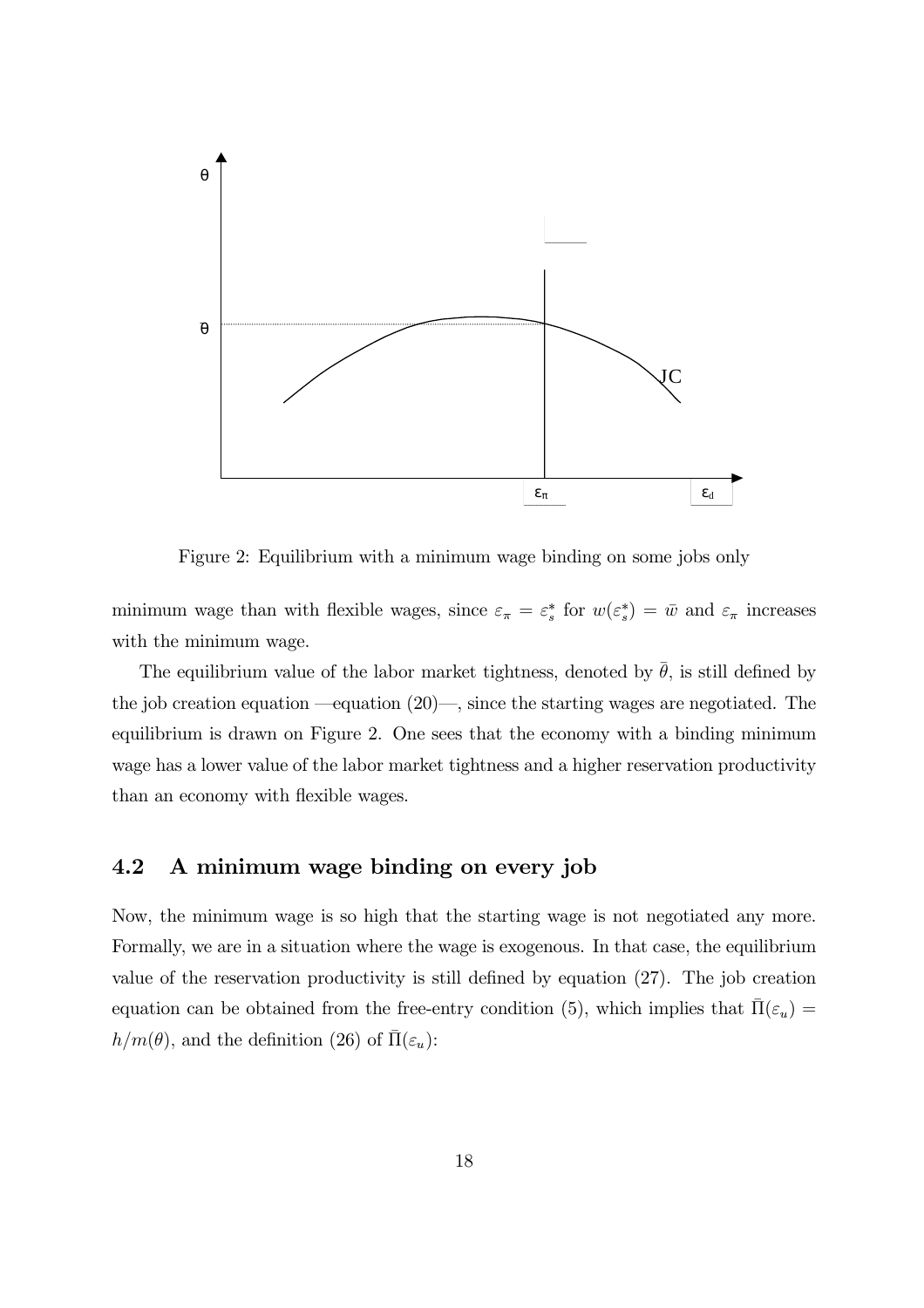

Figure 2: Equilibrium with a minimum wage binding on some jobs only

minimum wage than with flexible wages, since  $\varepsilon_{\pi} = \varepsilon_s^*$  for  $w(\varepsilon_s^*) = \bar{w}$  and  $\varepsilon_{\pi}$  increases with the minimum wage.

The equilibrium value of the labor market tightness, denoted by  $\bar{\theta}$ , is still defined by the job creation equation —equation  $(20)$ —, since the starting wages are negotiated. The equilibrium is drawn on Figure 2. One sees that the economy with a binding minimum wage has a lower value of the labor market tightness and a higher reservation productivity than an economy with flexible wages.

#### A minimum wage binding on every job 4.2

Now, the minimum wage is so high that the starting wage is not negotiated any more. Formally, we are in a situation where the wage is exogenous. In that case, the equilibrium value of the reservation productivity is still defined by equation (27). The job creation equation can be obtained from the free-entry condition (5), which implies that  $\Pi(\varepsilon_u)$  =  $h/m(\theta)$ , and the definition (26) of  $\Pi(\varepsilon_u)$ :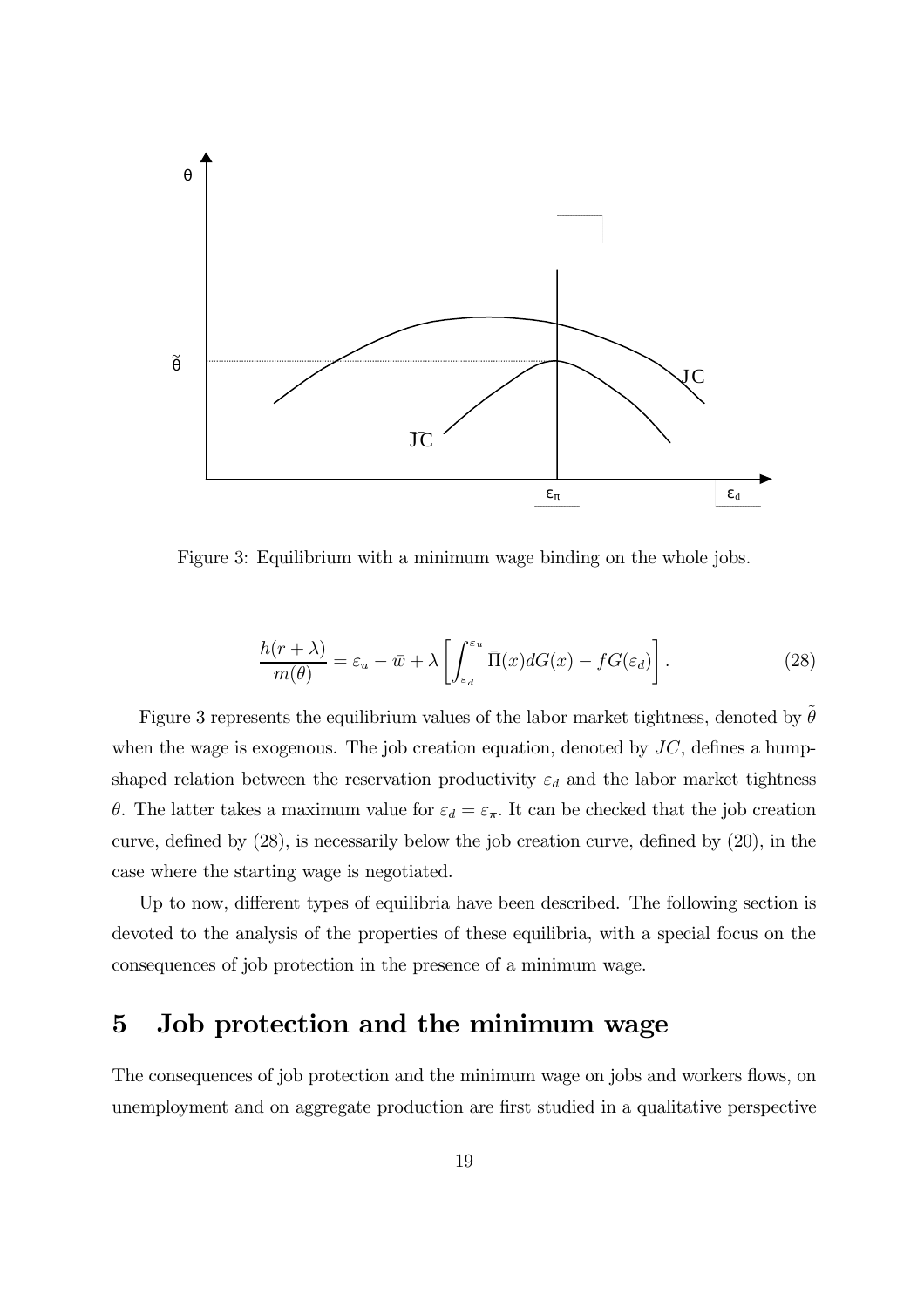

Figure 3: Equilibrium with a minimum wage binding on the whole jobs.

$$
\frac{h(r+\lambda)}{m(\theta)} = \varepsilon_u - \bar{w} + \lambda \left[ \int_{\varepsilon_d}^{\varepsilon_u} \bar{\Pi}(x) dG(x) - f G(\varepsilon_d) \right]. \tag{28}
$$

Figure 3 represents the equilibrium values of the labor market tightness, denoted by  $\theta$ when the wage is exogenous. The job creation equation, denoted by  $\overline{JC}$ , defines a humpshaped relation between the reservation productivity  $\varepsilon_d$  and the labor market tightness  $\theta$ . The latter takes a maximum value for  $\varepsilon_d = \varepsilon_{\pi}$ . It can be checked that the job creation curve, defined by  $(28)$ , is necessarily below the job creation curve, defined by  $(20)$ , in the case where the starting wage is negotiated.

Up to now, different types of equilibria have been described. The following section is devoted to the analysis of the properties of these equilibria, with a special focus on the consequences of job protection in the presence of a minimum wage.

#### $\overline{5}$ Job protection and the minimum wage

The consequences of job protection and the minimum wage on jobs and workers flows, on unemployment and on aggregate production are first studied in a qualitative perspective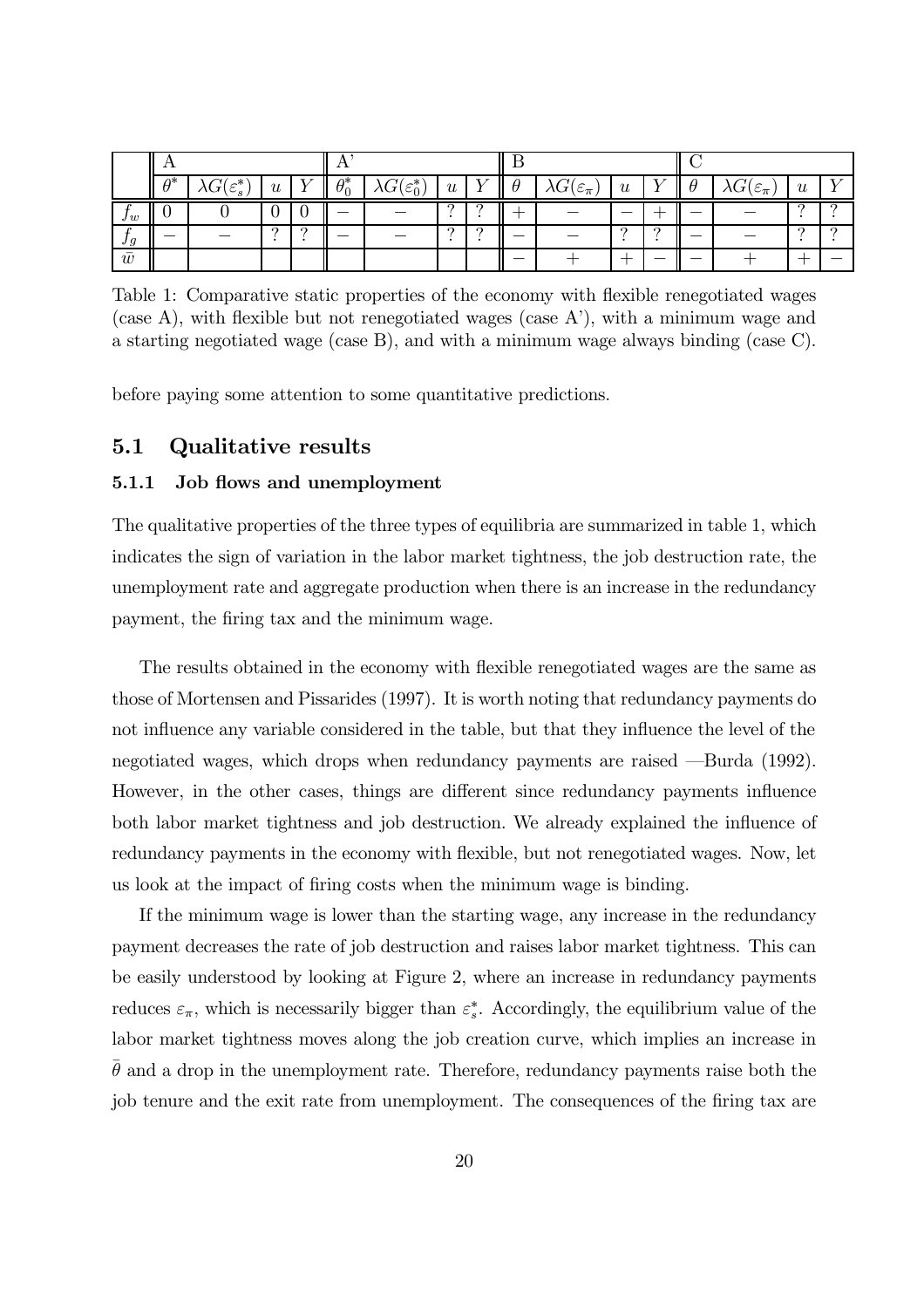|        | $A^*$ | $\lambda G(\varepsilon_s^\ast)$ | u        |          | $\theta_0^*$ | $\lambda G(\varepsilon_0^*)$ | $\boldsymbol{u}$ |  | $\lambda G(\varepsilon_{\pi})$ | $\boldsymbol{u}$ |            | $\lambda G(\varepsilon_{\pi})$ | u        |  |
|--------|-------|---------------------------------|----------|----------|--------------|------------------------------|------------------|--|--------------------------------|------------------|------------|--------------------------------|----------|--|
| $J\,w$ |       |                                 |          |          |              |                              |                  |  |                                |                  |            |                                |          |  |
| Jg     |       |                                 | $\Omega$ | $\Omega$ |              |                              | $\Omega$         |  |                                | ົ                | $\epsilon$ |                                | $\Omega$ |  |
| w      |       |                                 |          |          |              |                              |                  |  |                                |                  |            |                                |          |  |

Table 1: Comparative static properties of the economy with flexible renegotiated wages (case A), with flexible but not renegotiated wages (case A'), with a minimum wage and a starting negotiated wage (case B), and with a minimum wage always binding (case C).

before paying some attention to some quantitative predictions.

#### **Qualitative results**  $5.1$

#### 5.1.1 Job flows and unemployment

The qualitative properties of the three types of equilibria are summarized in table 1, which indicates the sign of variation in the labor market tightness, the job destruction rate, the unemployment rate and aggregate production when there is an increase in the redundancy payment, the firing tax and the minimum wage.

The results obtained in the economy with flexible renegotiated wages are the same as those of Mortensen and Pissarides (1997). It is worth noting that redundancy payments do not influence any variable considered in the table, but that they influence the level of the negotiated wages, which drops when redundancy payments are raised —Burda (1992). However, in the other cases, things are different since redundancy payments influence both labor market tightness and job destruction. We already explained the influence of redundancy payments in the economy with flexible, but not renegotiated wages. Now, let us look at the impact of firing costs when the minimum wage is binding.

If the minimum wage is lower than the starting wage, any increase in the redundancy payment decreases the rate of job destruction and raises labor market tightness. This can be easily understood by looking at Figure 2, where an increase in redundancy payments reduces  $\varepsilon_{\pi}$ , which is necessarily bigger than  $\varepsilon_s^*$ . Accordingly, the equilibrium value of the labor market tightness moves along the job creation curve, which implies an increase in  $\theta$  and a drop in the unemployment rate. Therefore, redundancy payments raise both the job tenure and the exit rate from unemployment. The consequences of the firing tax are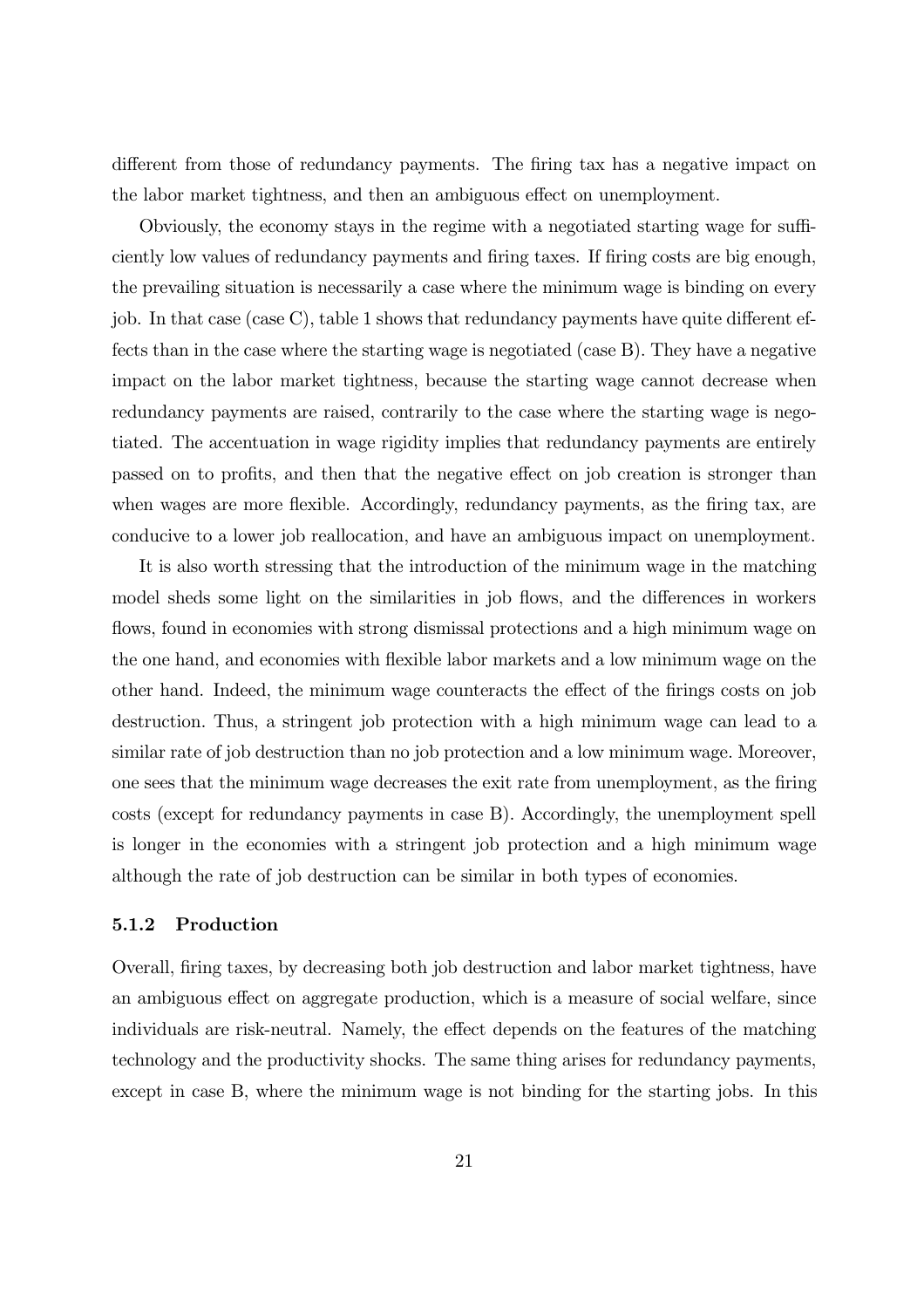different from those of redundancy payments. The firing tax has a negative impact on the labor market tightness, and then an ambiguous effect on unemployment.

Obviously, the economy stays in the regime with a negotiated starting wage for sufficiently low values of redundancy payments and firing taxes. If firing costs are big enough, the prevailing situation is necessarily a case where the minimum wage is binding on every job. In that case (case C), table 1 shows that redundancy payments have quite different effects than in the case where the starting wage is negotiated (case B). They have a negative impact on the labor market tightness, because the starting wage cannot decrease when redundancy payments are raised, contrarily to the case where the starting wage is negotiated. The accentuation in wage rigidity implies that redundancy payments are entirely passed on to profits, and then that the negative effect on job creation is stronger than when wages are more flexible. Accordingly, redundancy payments, as the firing tax, are conducive to a lower job reallocation, and have an ambiguous impact on unemployment.

It is also worth stressing that the introduction of the minimum wage in the matching model sheds some light on the similarities in job flows, and the differences in workers flows, found in economies with strong dismissal protections and a high minimum wage on the one hand, and economies with flexible labor markets and a low minimum wage on the other hand. Indeed, the minimum wage counteracts the effect of the firings costs on job destruction. Thus, a stringent job protection with a high minimum wage can lead to a similar rate of job destruction than no job protection and a low minimum wage. Moreover, one sees that the minimum wage decreases the exit rate from unemployment, as the firing costs (except for redundancy payments in case B). Accordingly, the unemployment spell is longer in the economies with a stringent job protection and a high minimum wage although the rate of job destruction can be similar in both types of economies.

#### 5.1.2 Production

Overall, firing taxes, by decreasing both job destruction and labor market tightness, have an ambiguous effect on aggregate production, which is a measure of social welfare, since individuals are risk-neutral. Namely, the effect depends on the features of the matching technology and the productivity shocks. The same thing arises for redundancy payments, except in case B, where the minimum wage is not binding for the starting jobs. In this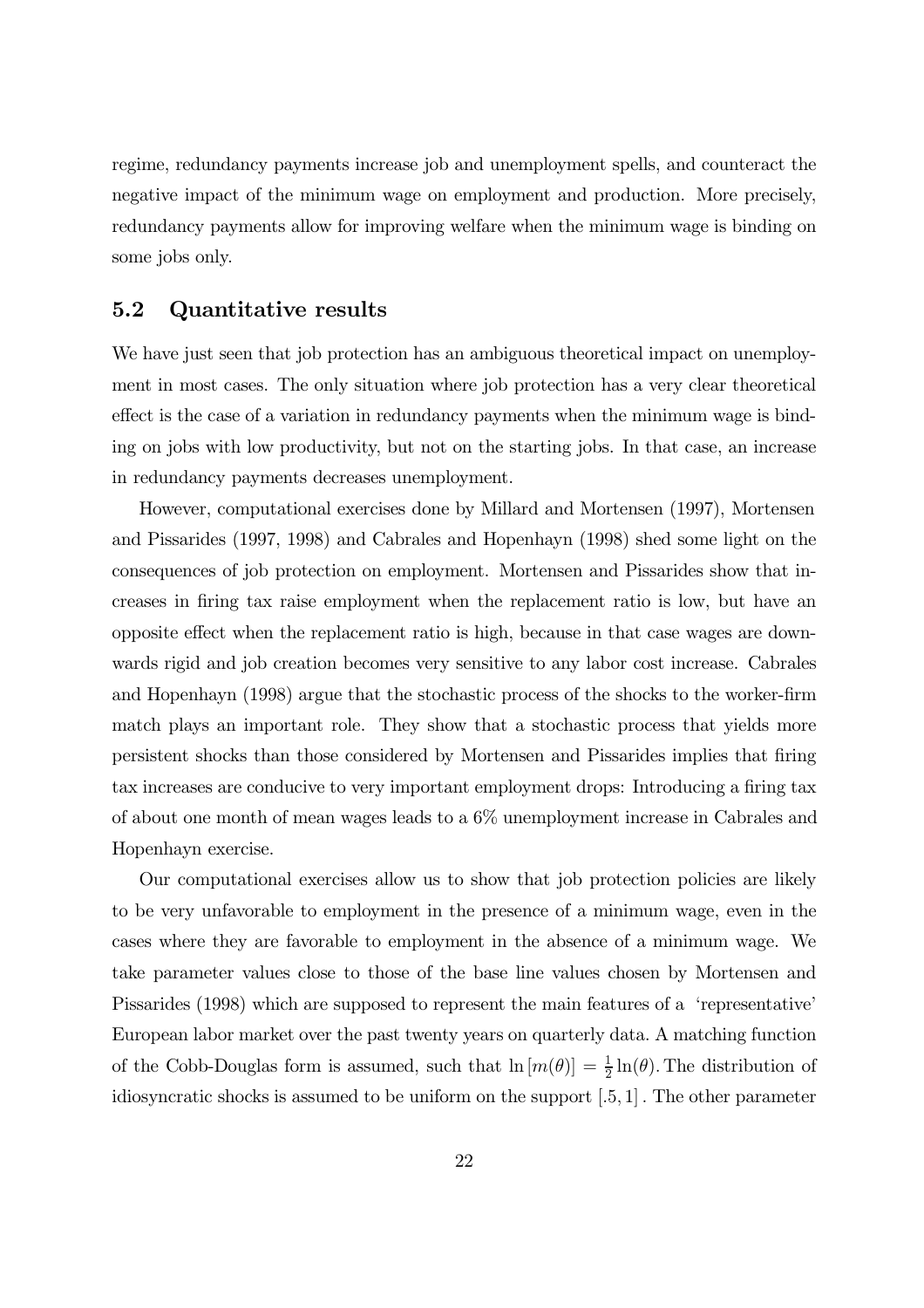regime, redundancy payments increase job and unemployment spells, and counteract the negative impact of the minimum wage on employment and production. More precisely, redundancy payments allow for improving welfare when the minimum wage is binding on some jobs only.

# 5.2 Quantitative results

We have just seen that job protection has an ambiguous theoretical impact on unemployphoton in most cases. The only situation where job protection has a very clear theoretical effect is the case of a variation in redundancy payments when the minimum wage is binding on jobs with low productivity, but not on the starting jobs. In that case, an increase in redundancy payments decreases unemployment.

However, computational exercises done by Millard and Mortensen (1997), Mortensen and Pissarides  $(1997, 1998)$  and Cabrales and Hopenhayn  $(1998)$  shed some light on the consequences of job protection on employment. Mortensen and Pissarides show that increases in firing tax raise employment when the replacement ratio is low, but have an opposite effect when the replacement ratio is high, because in that case wages are downwards rigid and job creation becomes very sensitive to any labor cost increase. Cabrales and Hopenhayn (1998) argue that the stochastic process of the shocks to the worker-firm match plays an important role. They show that a stochastic process that yields more persistent shocks than those considered by Mortensen and Pissarides implies that firing tax increases are conducive to very important employment drops: Introducing a firing tax of about one month of mean wages leads to a  $6\%$  unemployment increase in Cabrales and Hopenhayn exercise.

Our computational exercises allow us to show that job protection policies are likely to be very unfavorable to employment in the presence of a minimum wage, even in the cases where they are favorable to employment in the absence of a minimum wage. We take parameter values close to those of the base line values chosen by Mortensen and Pissarides (1998) which are supposed to represent the main features of a 'representative' European labor market over the past twenty years on quarterly data. A matching function of the Cobb-Douglas form is assumed, such that  $\ln [m(\theta)] = \frac{1}{2} \ln(\theta)$ . The distribution of idiosyncratic shocks is assumed to be uniform on the support  $[0.5, 1]$ . The other parameter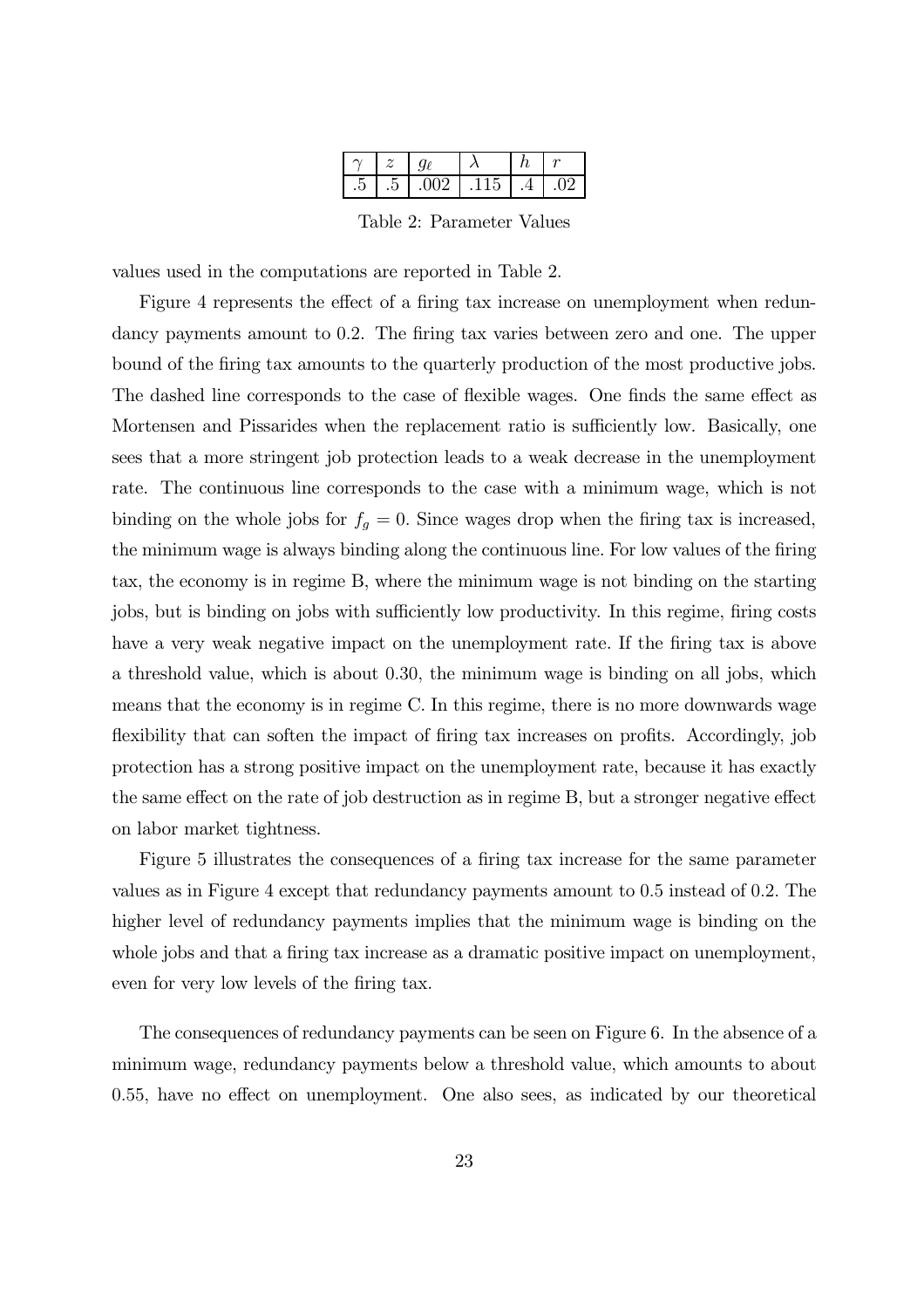|  | $\sim$ $\sim$ | . .<br>◡ |  |
|--|---------------|----------|--|

Table 2: Parameter Values

values used in the computations are reported in Table 2.

Figure 4 represents the effect of a firing tax increase on unemployment when redundancy payments amount to 0.2. The firing tax varies between zero and one. The upper bound of the firing tax amounts to the quarterly production of the most productive jobs. The dashed line corresponds to the case of flexible wages. One finds the same effect as Mortensen and Pissarides when the replacement ratio is sufficiently low. Basically, one sees that a more stringent job protection leads to a weak decrease in the unemployment rate. The continuous line corresponds to the case with a minimum wage, which is not binding on the whole jobs for  $f_g = 0$ . Since wages drop when the firing tax is increased, the minimum wage is always binding along the continuous line. For low values of the firing tax, the economy is in regime B, where the minimum wage is not binding on the starting jobs, but is binding on jobs with sufficiently low productivity. In this regime, firing costs have a very weak negative impact on the unemployment rate. If the firing tax is above a threshold value, which is about 0.30, the minimum wage is binding on all jobs, which means that the economy is in regime C. In this regime, there is no more downwards wage flexibility that can soften the impact of firing tax increases on profits. Accordingly, job protection has a strong positive impact on the unemployment rate, because it has exactly the same effect on the rate of job destruction as in regime B, but a stronger negative effect on labor market tightness.

Figure 5 illustrates the consequences of a firing tax increase for the same parameter values as in Figure 4 except that redundancy payments amount to 0.5 instead of 0.2. The higher level of redundancy payments implies that the minimum wage is binding on the whole jobs and that a firing tax increase as a dramatic positive impact on unemployment, even for very low levels of the firing tax.

The consequences of redundancy payments can be seen on Figure 6. In the absence of a minimum wage, redundancy payments below a threshold value, which amounts to about 0.55, have no effect on unemployment. One also sees, as indicated by our theoretical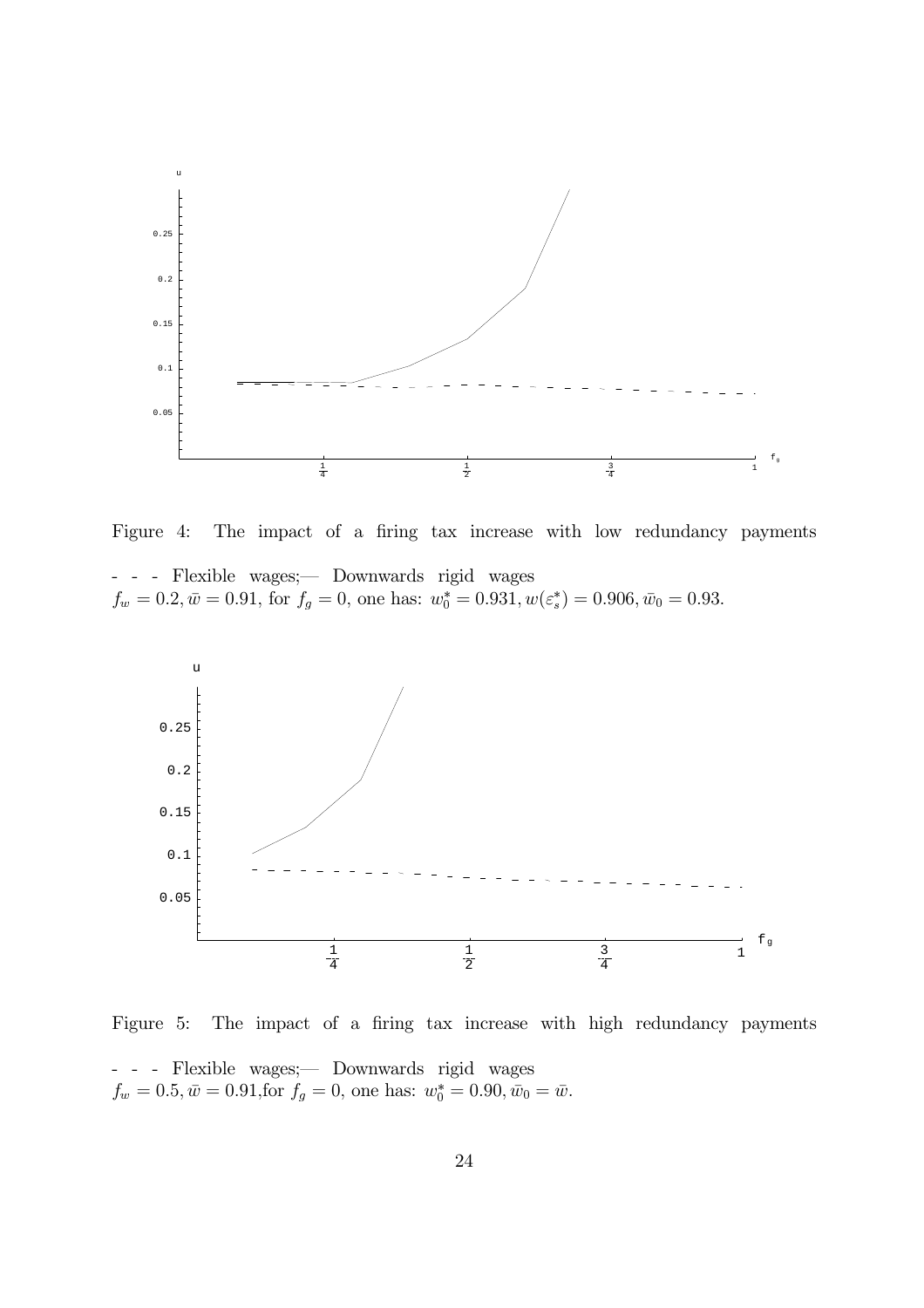

Figure 4: The impact of a firing tax increase with low redundancy payments

- - - Flexible wages; - Downwards rigid wages  $f_w = 0.2, \bar{w} = 0.91$ , for  $f_g = 0$ , one has:  $w_0^* = 0.931, w(\varepsilon_s^*) = 0.906, \bar{w}_0 = 0.93$ .



Figure 5: The impact of a firing tax increase with high redundancy payments - - - Flexible wages;— Downwards rigid wages  $f_w = 0.5, \bar{w} = 0.91$ , for  $f_g = 0$ , one has:  $w_0^* = 0.90, \bar{w}_0 = \bar{w}$ .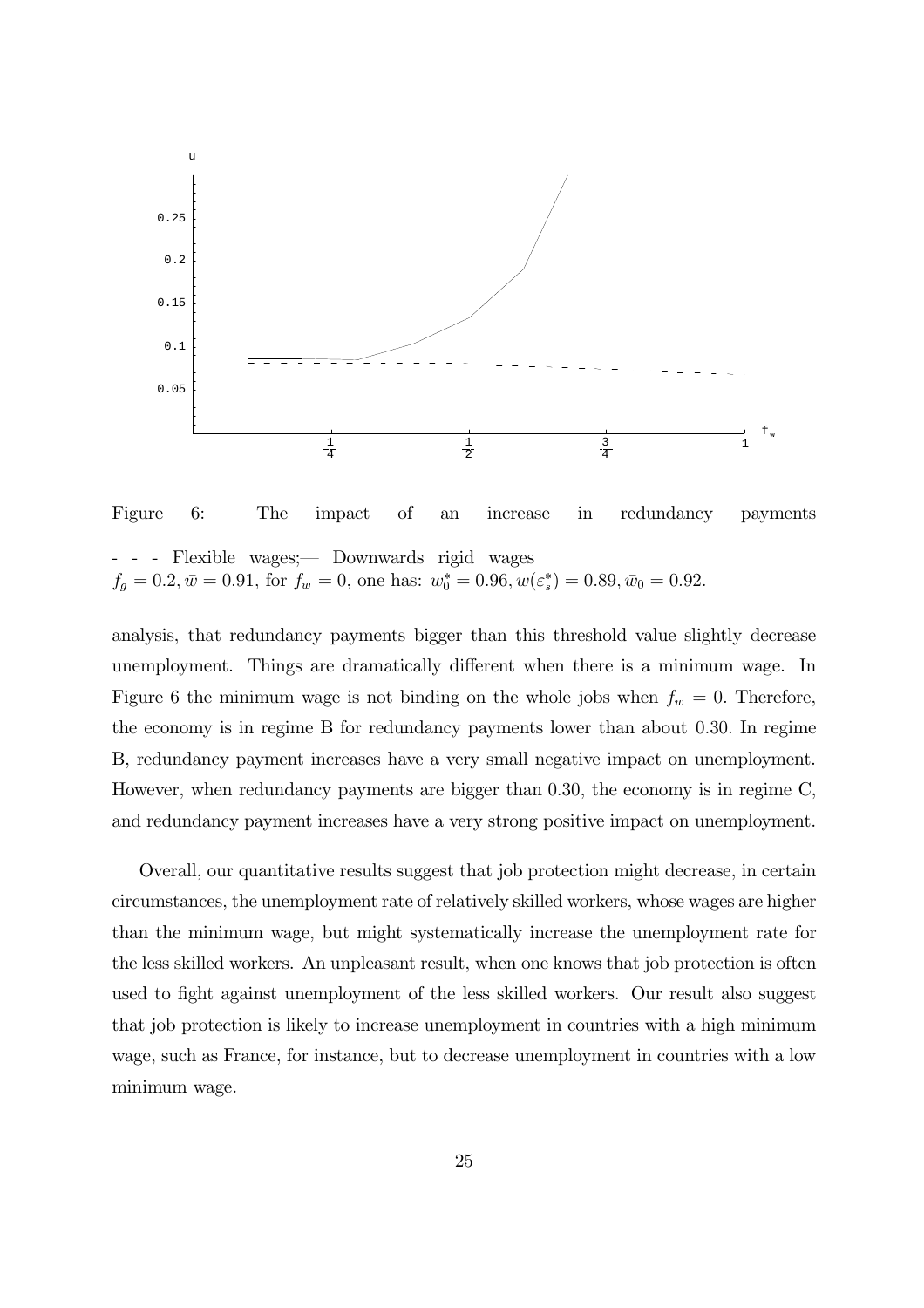

Figure 6: The impact of an increase in redundancy payments - Flexible wages; - Downwards rigid wages  $f_g = 0.2, \bar{w} = 0.91$ , for  $f_w = 0$ , one has:  $w_0^* = 0.96, w(\varepsilon_s^*) = 0.89, \bar{w}_0 = 0.92$ .

analysis, that redundancy payments bigger than this threshold value slightly decrease unemployment. Things are dramatically different when there is a minimum wage. In Figure 6 the minimum wage is not binding on the whole jobs when  $f_w = 0$ . Therefore, the economy is in regime B for redundancy payments lower than about  $0.30$ . In regime B, redundancy payment increases have a very small negative impact on unemployment. However, when redundancy payments are bigger than 0.30, the economy is in regime  $C$ , and redundancy payment increases have a very strong positive impact on unemployment.

Overall, our quantitative results suggest that job protection might decrease, in certain fluffurtheed, the unemployment rate of relatively skilled workers, whose wages are higher than the minimum wage, but might systematically increase the unemployment rate for the less skilled workers. An unpleasant result, when one knows that job protection is often used to fight against unemployment of the less skilled workers. Our result also suggest that job protection is likely to increase unemployment in countries with a high minimum wage, such as France, for instance, but to decrease unemployment in countries with a low minimum wage.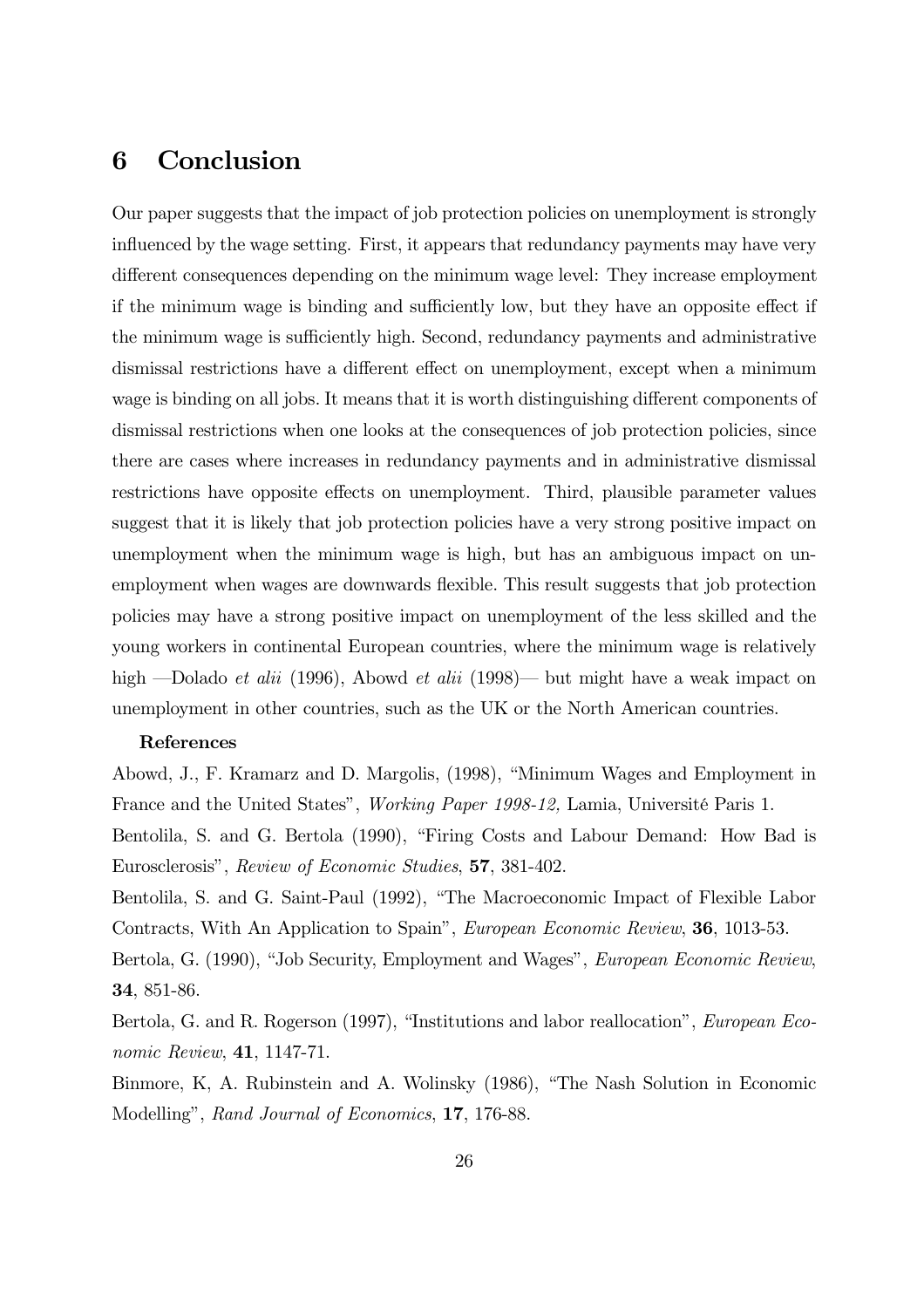# 6 Conclusion

Our paper suggests that the impact of job protection policies on unemployment is strongly influenced by the wage setting. First, it appears that redundancy payments may have very different consequences depending on the minimum wage level: They increase employment if the minimum wage is binding and sufficiently low, but they have an opposite effect if the minimum wage is sufficiently high. Second, redundancy payments and administrative dismissal restrictions have a different effect on unemployment, except when a minimum wage is binding on all jobs. It means that it is worth distinguishing different components of dismissal restrictions when one looks at the consequences of job protection policies, since there are cases where increases in redundancy payments and in administrative dismissal restrictions have opposite effects on unemployment. Third, plausible parameter values suggest that it is likely that job protection policies have a very strong positive impact on unemployment when the minimum wage is high, but has an ambiguous impact on unemployment when wages are downwards flexible. This result suggests that job protection policies may have a strong positive impact on unemployment of the less skilled and the young workers in continental European countries, where the minimum wage is relatively high —Dolado *et alii* (1996), Abowd *et alii* (1998)— but might have a weak impact on unemployment in other countries, such as the UK or the North American countries.

## References

Abowd, J., F. Kramarz and D. Margolis, (1998), "Minimum Wages and Employment in France and the United States", Working Paper 1998-12, Lamia, Université Paris 1.

Bentolila, S. and G. Bertola (1990), "Firing Costs and Labour Demand: How Bad is Eurosclerosis", Review of Economic Studies, 57, 381-402.

Bentolila, S. and G. Saint-Paul (1992), "The Macroeconomic Impact of Flexible Labor Contracts, With An Application to Spain", *European Economic Review*, **36**, 1013-53.

Bertola, G. (1990), "Job Security, Employment and Wages", *European Economic Review*, 34, 851-86.

Bertola, G. and R. Rogerson (1997), "Institutions and labor reallocation", *European Eco*nomic Review,  $41, 1147-71.$ 

Elinmore, K. A. Rubinstein and A. Wolinsky (1986), "The Nash Solution in Economic Modelling", Rand Journal of Economics, 17, 176-88.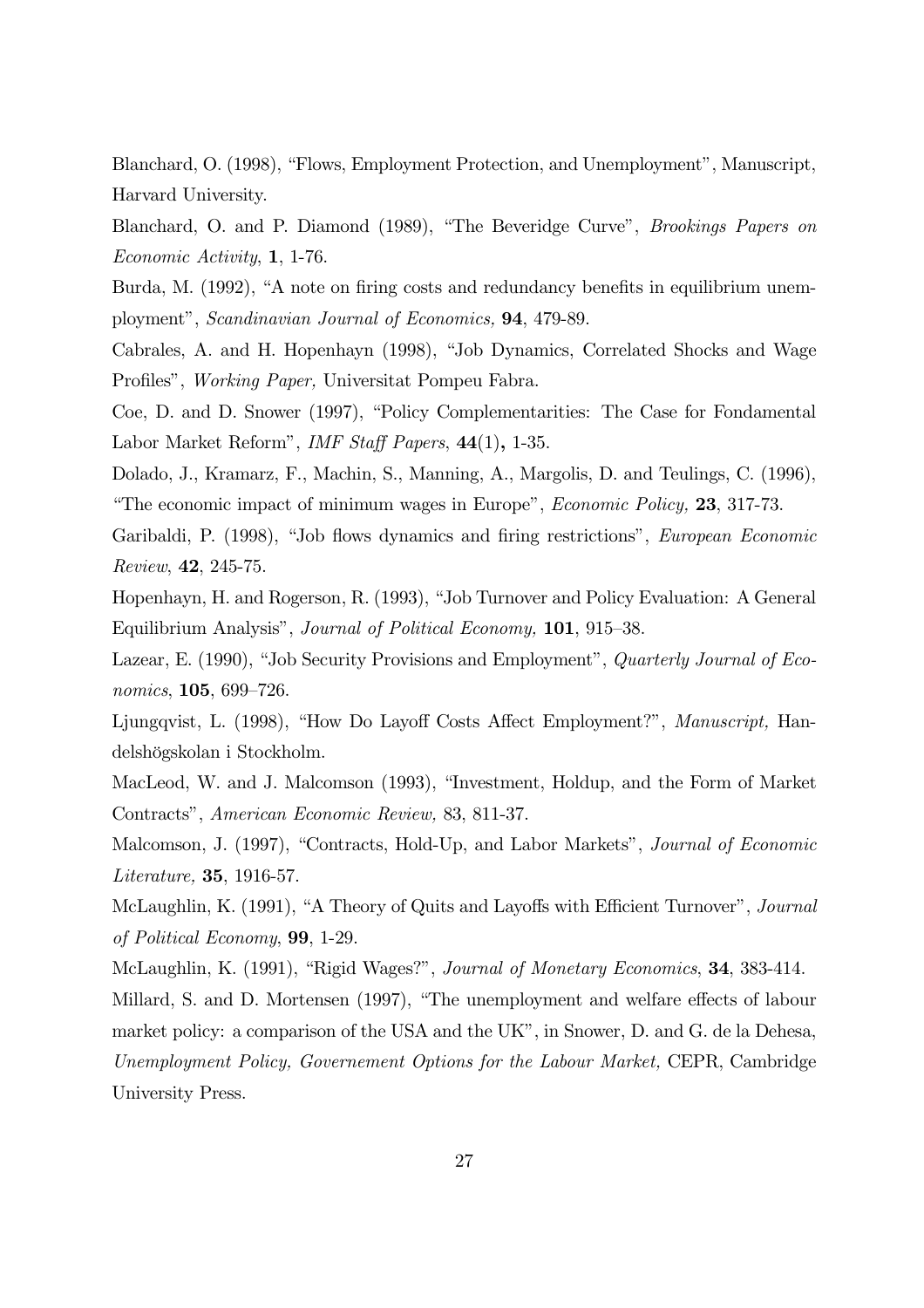Eodellanchard, O. (1998), "Flows, Employment Protection, and Unemployment", Manuscript, Harvard University.

Blanchard, O. and P. Diamond (1989), "The Beveridge Curve", *Brookings Papers on*  $Economic \, Activity, 1, 1-76.$ 

Burda, M. (1992), "A note on firing costs and redundancy benefits in equilibrium unemployment", Scandinavian Journal of Economics, 94, 479-89.

Cabrales, A. and H. Hopenhayn (1998), "Job Dynamics, Correlated Shocks and Wage Profiles", Working Paper, Universitat Pompeu Fabra.

Coe, D. and D. Snower (1997), "Policy Complementarities: The Case for Fondamental Labor Market Reform", *IMF Staff Papers*,  $44(1)$ , 1-35.

Dolado, J., Kramarz, F., Machin, S., Manning, A., Margolis, D. and Teulings, C. (1996), "The economic impact of minimum wages in Europe", *Economic Policy*, **23**, 317-73.

Garibaldi, P. (1998), "Job flows dynamics and firing restrictions", *European Economic*  $Review, 42, 245-75.$ 

Hopenhayn, H. and Rogerson, R. (1993), "Job Turnover and Policy Evaluation: A General Equilibrium Analysis", Journal of Political Economy, 101, 915-38.

Lazear, E. (1990), "Job Security Provisions and Employment", *Quarterly Journal of Eco*nomics, 105, 699-726.

Ljungqvist, L. (1998), "How Do Layoff Costs Affect Employment?", Manuscript. Handelshögskolan i Stockholm.

MacLeod, W. and J. Malcomson (1993), "Investment, Holdup, and the Form of Market Contracts", *American Economic Review*, 83, 811-37.

Malcomson, J. (1997), "Contracts, Hold-Up, and Labor Markets", Journal of Economic  $Literature, 35, 1916-57.$ 

McLaughlin, K. (1991), "A Theory of Quits and Layoffs with Efficient Turnover", Journal of Political Economy,  $99, 1-29.$ 

McLaughlin, K. (1991), "Rigid Wages?", Journal of Monetary Economics, 34, 383-414.

Millard, S. and D. Mortensen (1997), "The unemployment and welfare effects of labour market policy: a comparison of the USA and the UK", in Snower, D. and G. de la Dehesa, Unemployment Policy, Governement Options for the Labour Market, CEPR, Cambridge University Press.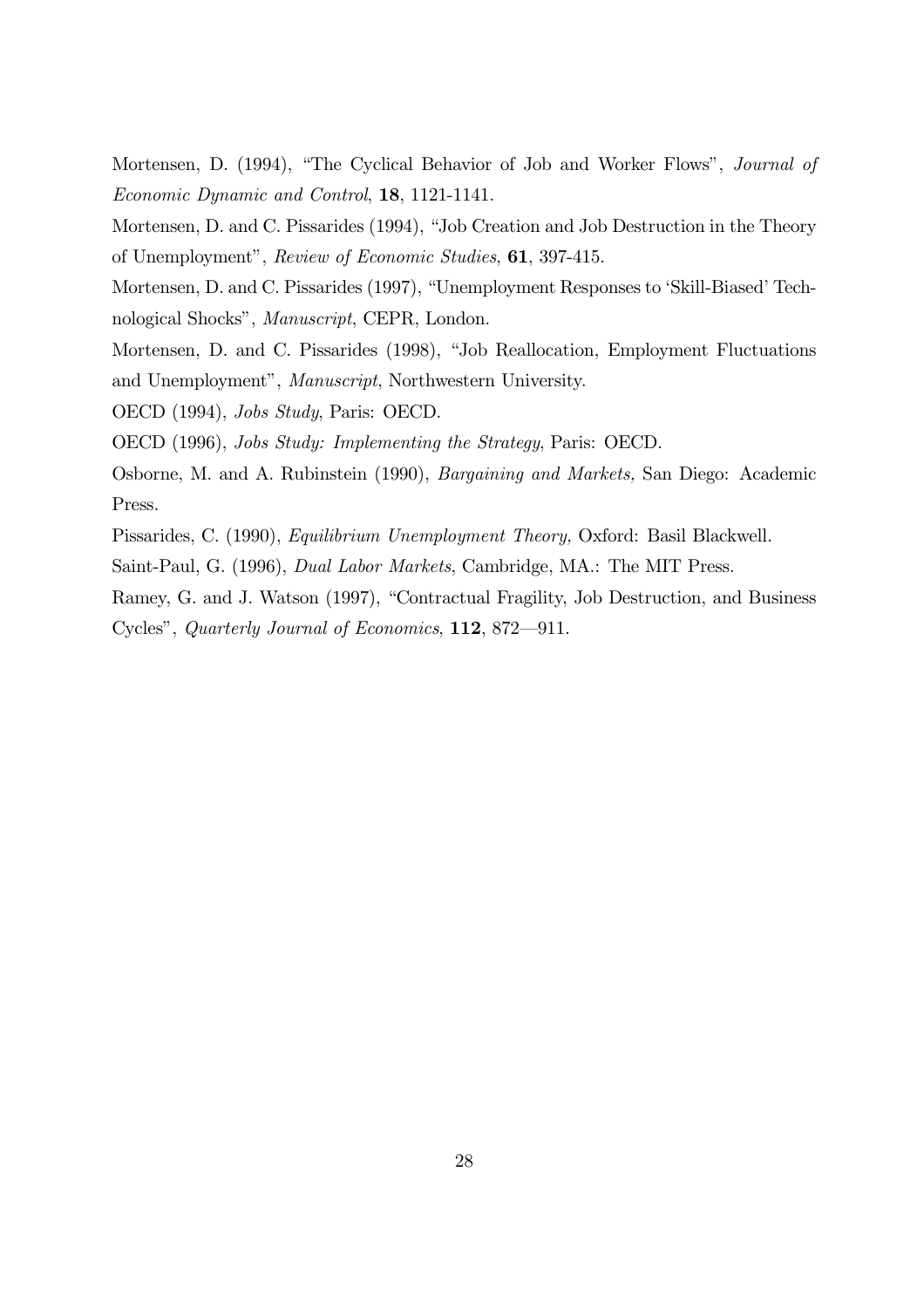Mortensen, D. (1994), "The Cyclical Behavior of Job and Worker Flows", Journal of Economic Dynamic and Control, 18, 1121-1141.

Mortensen, D. and C. Pissarides (1994), "Job Creation and Job Destruction in the Theory of Unemployment", Review of Economic Studies, 61, 397-415.

Mortensen, D. and C. Pissarides (1997), "Unemployment Responses to 'Skill-Biased' Technological Shocks", *Manuscript*, CEPR, London.

Mortensen, D. and C. Pissarides (1998), "Job Reallocation, Employment Fluctuations and Unemployment", Manuscript, Northwestern University.

OECD (1994), *Jobs Study*, Paris: OECD.

OECD (1996), Jobs Study: Implementing the Strategy, Paris: OECD.

Osborne, M. and A. Rubinstein (1990), *Bargaining and Markets*, San Diego: Academic Press.

Pissarides, C. (1990), *Equilibrium Unemployment Theory*, Oxford: Basil Blackwell.

Saint-Paul, G. (1996), *Dual Labor Markets*, Cambridge, MA.: The MIT Press.

Ramey, G. and J. Watson (1997), "Contractual Fragility, Job Destruction, and Business Cycles", Quarterly Journal of Economics,  $112$ ,  $872-911$ .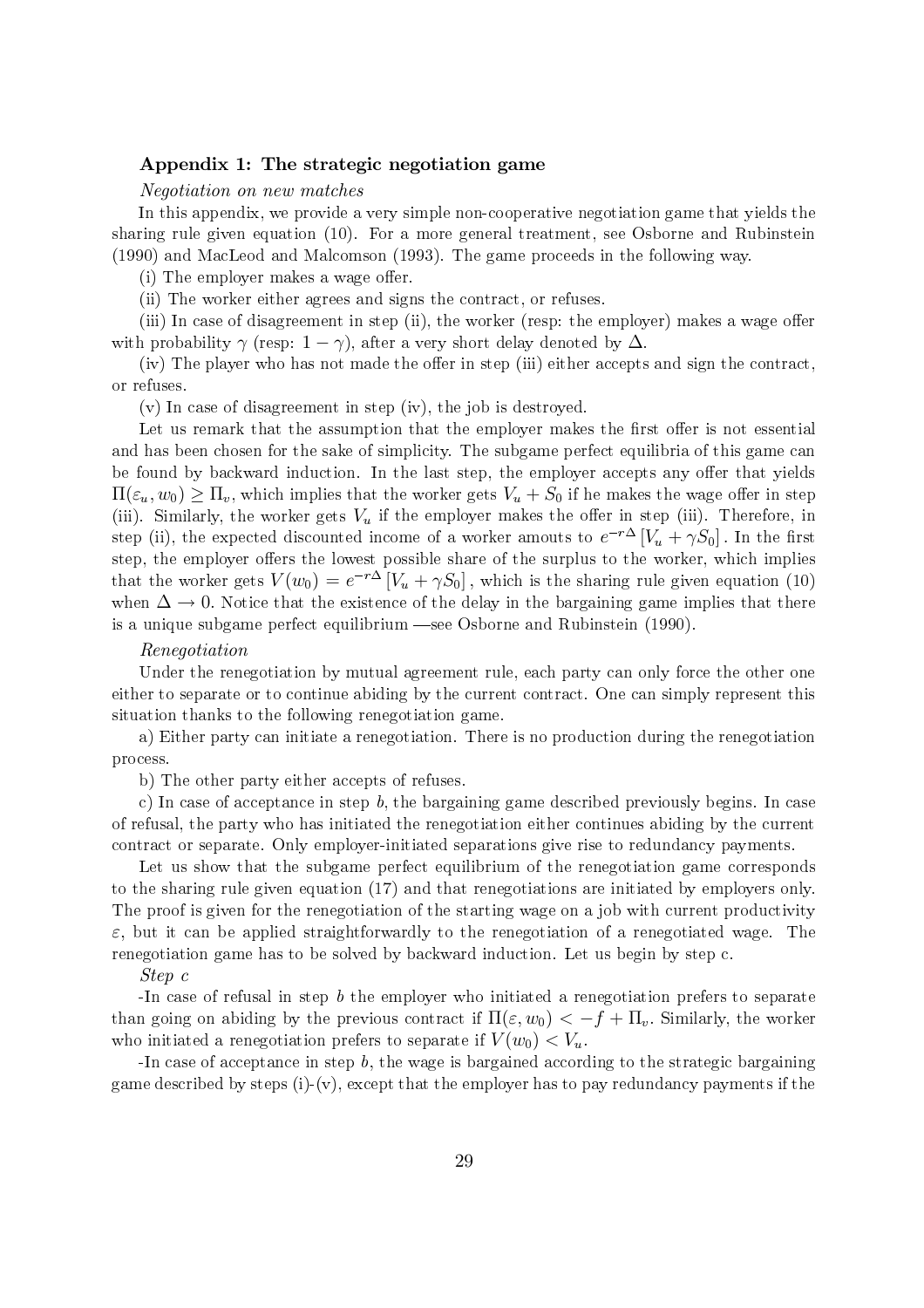## Appendix 1: The strategic negotiation game

## *Negotiation on new matches*

In this appendix, we provide a very simple non-cooperative negotiation game that yields the sharing rule given equation  $(10)$ . For a more general treatment, see Osborne and Rubinstein (1990) and MacLeod and Malcomson (1993). The game proceeds in the following way.

(i) The employer makes a wage offer.

(ii) The worker either agrees and signs the contract, or refuses.

(iii) In case of disagreement in step (ii), the worker (resp: the employer) makes a wage offer with probability  $\gamma$  (resp:  $1 - \gamma$ ), after a very short delay denoted by  $\Delta$ .

(iv) The player who has not made the offer in step (iii) either accepts and sign the contract, or refuses.

 $(v)$  In case of disagreement in step (iv), the job is destroyed.

Let us remark that the assumption that the employer makes the first offer is not essential and has been chosen for the sake of simplicity. The subgame perfect equilibria of this game can be found by backward induction. In the last step, the employer accepts any offer that yields  $\Pi(\varepsilon_u, w_0) \geq \Pi_v$ , which implies that the worker gets  $V_u + S_0$  if he makes the wage offer in step (iii). Similarly, the worker gets  $V_u$  if the employer makes the offer in step (iii). Therefore, in step (ii), the expected discounted income of a worker amouts to  $e^{-r\Delta}[V_u + \gamma S_0]$ . In the first step, the employer offers the lowest possible share of the surplus to the worker, which implies that the worker gets  $V(w_0) = e^{-r\Delta} [V_u + \gamma S_0]$ , which is the sharing rule given equation (10) when  $\Delta \rightarrow 0$ . Notice that the existence of the delay in the bargaining game implies that there is a unique subgame perfect equilibrium -see Osborne and Rubinstein (1990).

### Renegotiation

Under the renegotiation by mutual agreement rule, each party can only force the other one either to separate or to continue abiding by the current contract. One can simply represent this situation thanks to the following renegotiation game.

a) Either party can initiate a renegotiation. There is no production during the renegotiation process.

b) The other party either accepts of refuses.

c) In case of acceptance in step  $b$ , the bargaining game described previously begins. In case of refusal, the party who has initiated the renegotiation either continues abiding by the current contract or separate. Only employer-initiated separations give rise to redundancy payments.

Let us show that the subgame perfect equilibrium of the renegotiation game corresponds to the sharing rule given equation (17) and that renegotiations are initiated by employers only. The proof is given for the renegotiation of the starting wage on a job with current productivity  $\varepsilon$ , but it can be applied straightforwardly to the renegotiation of a renegotiated wage. The renegotiation game has to be solved by backward induction. Let us begin by step c.

## $Step c$

-In case of refusal in step  $b$  the employer who initiated a renegotiation prefers to separate than going on abiding by the previous contract if  $\Pi(\varepsilon, w_0) < -f + \Pi_v$ . Similarly, the worker who initiated a renegotiation prefers to separate if  $V(w_0) < V_u$ .

-In case of acceptance in step  $b$ , the wage is bargained according to the strategic bargaining game described by steps (i)-(v), except that the employer has to pay redundancy payments if the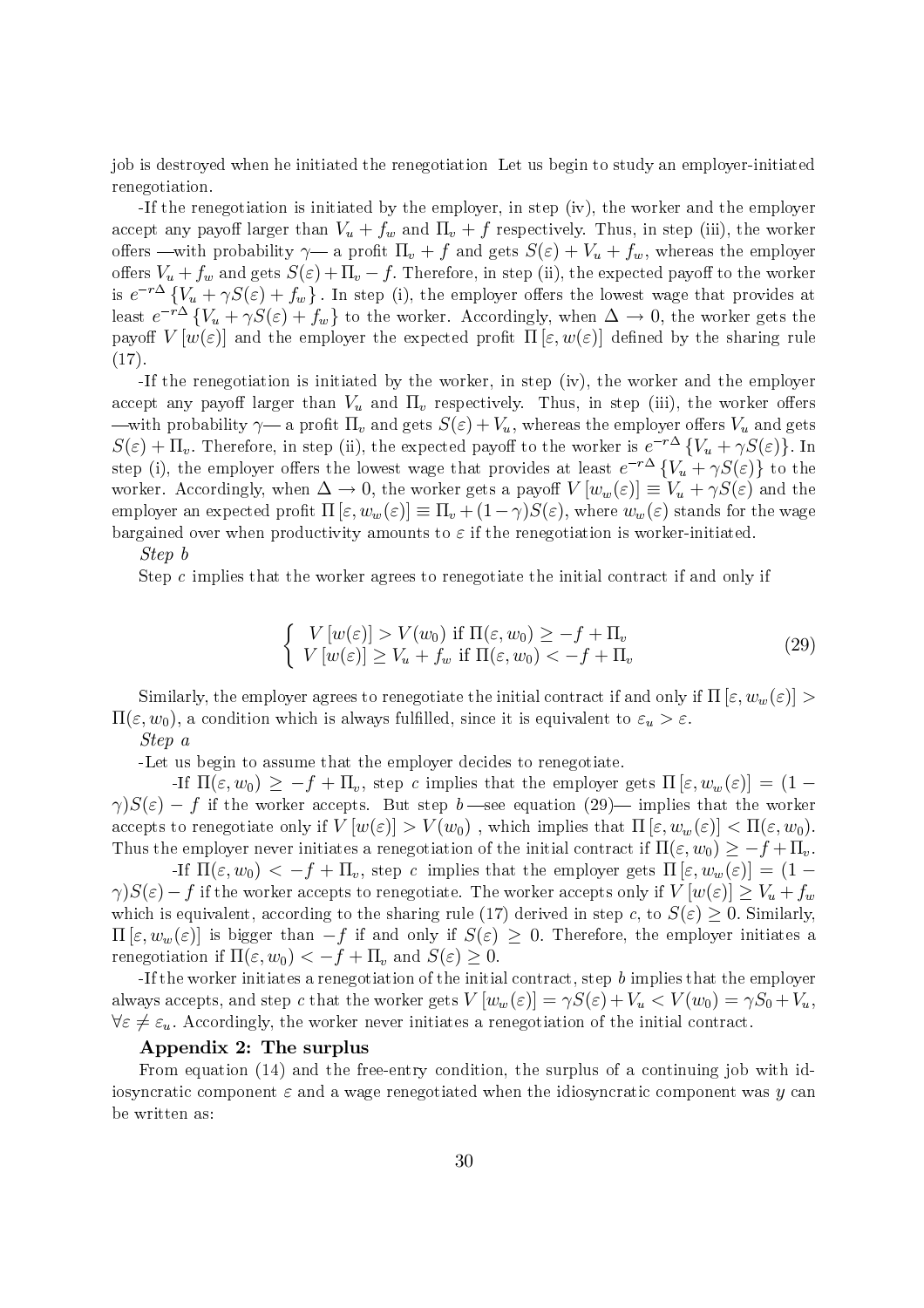job is destroved when he initiated the renegotiation Let us begin to study an employer-initiated renegotiation.

-If the renegotiation is initiated by the employer, in step (iv), the worker and the employer accept any payoff larger than  $V_u + f_w$  and  $\Pi_v + f$  respectively. Thus, in step (iii), the worker offers —with probability  $\gamma$ — a profit  $\Pi_v + f$  and gets  $S(\varepsilon) + V_u + f_w$ , whereas the employer offers  $V_u + f_w$  and gets  $S(\varepsilon) + \Pi_v - f$ . Therefore, in step (ii), the expected payoff to the worker is  $e^{-r\Delta} \{V_u + \gamma S(\varepsilon) + f_w\}$ . In step (i), the employer offers the lowest wage that provides at least  $e^{-r\Delta} \{V_u + \gamma S(\varepsilon) + f_w\}$  to the worker. Accordingly, when  $\Delta \to 0$ , the worker gets the payoff  $V[w(\varepsilon)]$  and the employer the expected profit  $\Pi[\varepsilon,w(\varepsilon)]$  defined by the sharing rule  $(17).$ 

-If the renegotiation is initiated by the worker, in step (iv), the worker and the employer accept any payoff larger than  $V_u$  and  $\Pi_v$  respectively. Thus, in step (iii), the worker offers —with probability  $\gamma$ — a profit  $\Pi_v$  and gets  $S(\varepsilon) + V_u$ , whereas the employer offers  $V_u$  and gets  $S(\varepsilon) + \Pi_v$ . Therefore, in step (ii), the expected payoff to the worker is  $e^{-r\Delta} \{V_u + \gamma S(\varepsilon)\}\.$  In step (i), the employer offers the lowest wage that provides at least  $e^{-r\Delta} \{V_u + \gamma S(\varepsilon)\}\;$  to the worker. Accordingly, when  $\Delta \to 0$ , the worker gets a payoff  $V[w_w(\varepsilon)] \equiv V_u + \gamma S(\varepsilon)$  and the employer an expected profit  $\Pi[\varepsilon,w_w(\varepsilon)] \equiv \Pi_v + (1-\gamma)S(\varepsilon)$ , where  $w_w(\varepsilon)$  stands for the wage bargained over when productivity amounts to  $\varepsilon$  if the renegotiation is worker-initiated.

## Step b

Step  $c$  implies that the worker agrees to renegotiate the initial contract if and only if

$$
\begin{cases}\nV[w(\varepsilon)] > V(w_0) \text{ if } \Pi(\varepsilon, w_0) \ge -f + \Pi_v \\
V[w(\varepsilon)] \ge V_u + f_w \text{ if } \Pi(\varepsilon, w_0) < -f + \Pi_v\n\end{cases} \tag{29}
$$

Similarly, the employer agrees to renegotiate the initial contract if and only if  $\Pi$  [ $\varepsilon, w_w(\varepsilon)$ ] >  $\Pi(\varepsilon, w_0)$ , a condition which is always fulfilled, since it is equivalent to  $\varepsilon_u > \varepsilon$ .

# Step a

-Let us begin to assume that the employer decides to renegotiate.

-If  $\Pi(\varepsilon, w_0) \geq -f + \Pi_v$ , step c implies that the employer gets  $\Pi(\varepsilon, w_w(\varepsilon)) = (1 \gamma$ ) $S(\varepsilon)$  – f if the worker accepts. But step b—see equation (29)— implies that the worker accepts to renegotiate only if  $V[w(\varepsilon)] > V(w_0)$ , which implies that  $\Pi[\varepsilon, w_w(\varepsilon)] < \Pi(\varepsilon, w_0)$ . Thus the employer never initiates a renegotiation of the initial contract if  $\Pi(\varepsilon, w_0) \geq -f + \Pi_v$ .

If  $\Pi(\varepsilon, w_0) < -f + \Pi_v$ , step c implies that the employer gets  $\Pi(\varepsilon, w_w(\varepsilon)) = (1 \gamma$ ) $S(\varepsilon)$  - f if the worker accepts to renegotiate. The worker accepts only if  $V[w(\varepsilon)] \ge V_u + f_w$ which is equivalent, according to the sharing rule (17) derived in step c, to  $S(\varepsilon) > 0$ . Similarly,  $\Pi[\varepsilon, w_w(\varepsilon)]$  is bigger than  $-f$  if and only if  $S(\varepsilon) > 0$ . Therefore, the employer initiates a renegotiation if  $\Pi(\varepsilon, w_0) < -f + \Pi_v$  and  $S(\varepsilon) \geq 0$ .

-If the worker initiates a renegotiation of the initial contract, step  $b$  implies that the employer always accepts, and step c that the worker gets  $V[w_w(\varepsilon)] = \gamma S(\varepsilon) + V_u < V(w_0) = \gamma S_0 + V_u$ ,  $\forall \varepsilon \neq \varepsilon_u$ . Accordingly, the worker never initiates a renegotiation of the initial contract.

## Appendix 2: The surplus

From equation  $(14)$  and the free-entry condition, the surplus of a continuing job with idisosyncratic component  $\varepsilon$  and a wage renegotiated when the idiosyncratic component was y can be written as: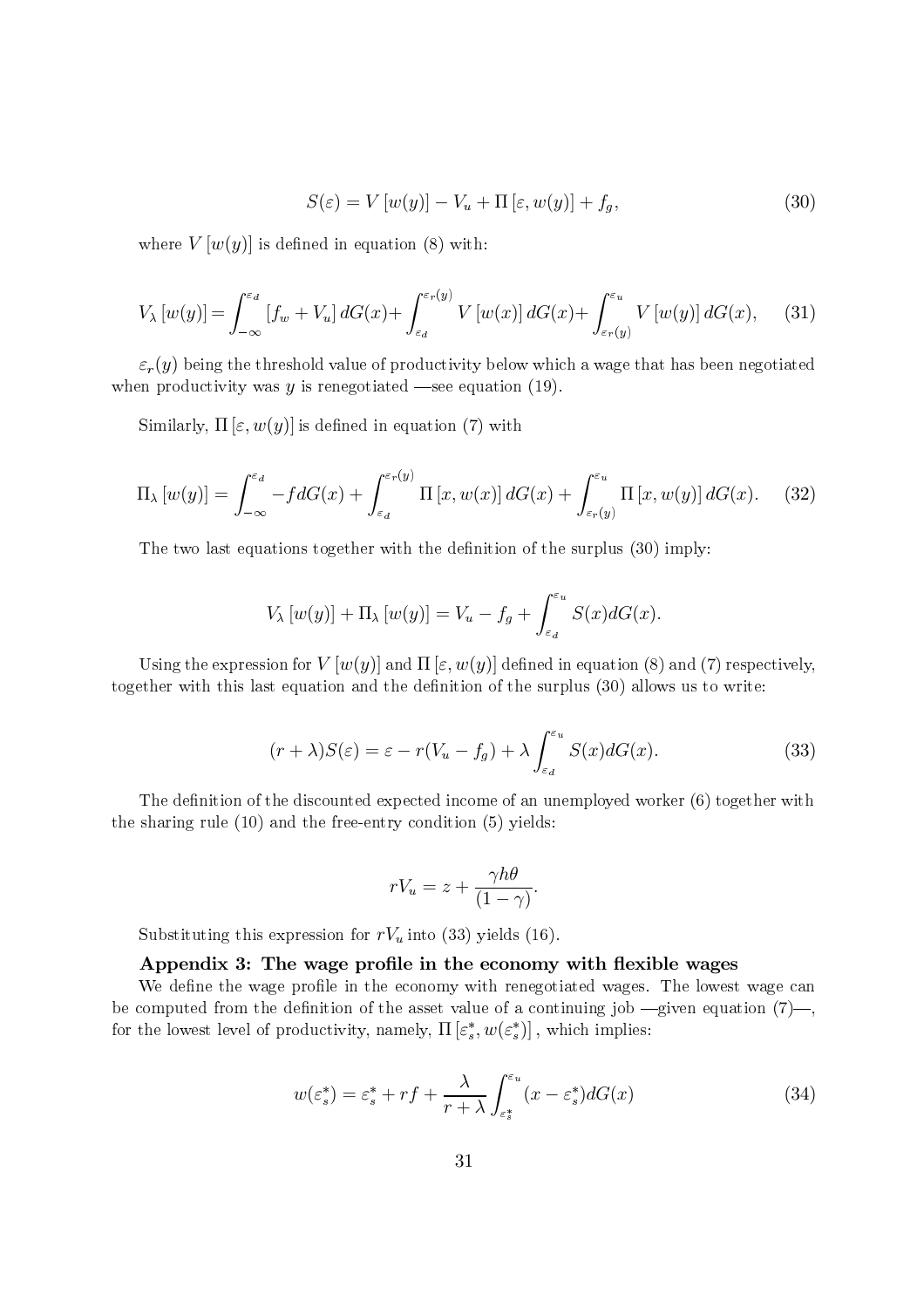$$
S(\varepsilon) = V[w(y)] - V_u + \Pi[\varepsilon, w(y)] + f_g,
$$
\n(30)

where  $V[w(y)]$  is defined in equation (8) with:

$$
V_{\lambda}[w(y)] = \int_{-\infty}^{\varepsilon_d} [f_w + V_u] dG(x) + \int_{\varepsilon_d}^{\varepsilon_r(y)} V[w(x)] dG(x) + \int_{\varepsilon_r(y)}^{\varepsilon_u} V[w(y)] dG(x), \quad (31)
$$

 $\varepsilon_r(y)$  being the threshold value of productivity below which a wage that has been negotiated when productivity was  $y$  is renegotiated —see equation (19).

Similarly,  $\Pi\left[\varepsilon,w(y)\right]$  is defined in equation (7) with

$$
\Pi_{\lambda}[w(y)] = \int_{-\infty}^{\varepsilon_d} -f dG(x) + \int_{\varepsilon_d}^{\varepsilon_r(y)} \Pi\left[x, w(x)\right] dG(x) + \int_{\varepsilon_r(y)}^{\varepsilon_u} \Pi\left[x, w(y)\right] dG(x). \tag{32}
$$

The two last equations together with the definition of the surplus (30) imply:

$$
V_{\lambda}[w(y)] + \Pi_{\lambda}[w(y)] = V_u - f_g + \int_{\varepsilon_d}^{\varepsilon_u} S(x) dG(x).
$$

Using the expression for  $V[w(y)]$  and  $\Pi[\varepsilon, w(y)]$  defined in equation (8) and (7) respectively, together with this last equation and the definition of the surplus (30) allows us to write:

$$
(r+\lambda)S(\varepsilon) = \varepsilon - r(V_u - f_g) + \lambda \int_{\varepsilon_d}^{\varepsilon_u} S(x) dG(x).
$$
 (33)

The definition of the discounted expected income of an unemployed worker (6) together with the sharing rule  $(10)$  and the free-entry condition  $(5)$  yields:

$$
rV_u = z + \frac{\gamma h\theta}{(1-\gamma)}.
$$

Substituting this expression for  $rV_u$  into (33) yields (16).

# Appendix 3: The wage profile in the economy with flexible wages

We define the wage profile in the economy with renegotiated wages. The lowest wage can be computed from the definition of the asset value of a continuing job  $\frac{1}{2}$  given equation (7)–, for the lowest level of productivity, namely,  $\Pi\left[\varepsilon_s^*, w(\varepsilon_s^*)\right]$ , which implies:

$$
w(\varepsilon_s^*) = \varepsilon_s^* + rf + \frac{\lambda}{r+\lambda} \int_{\varepsilon_s^*}^{\varepsilon_u} (x - \varepsilon_s^*) dG(x) \tag{34}
$$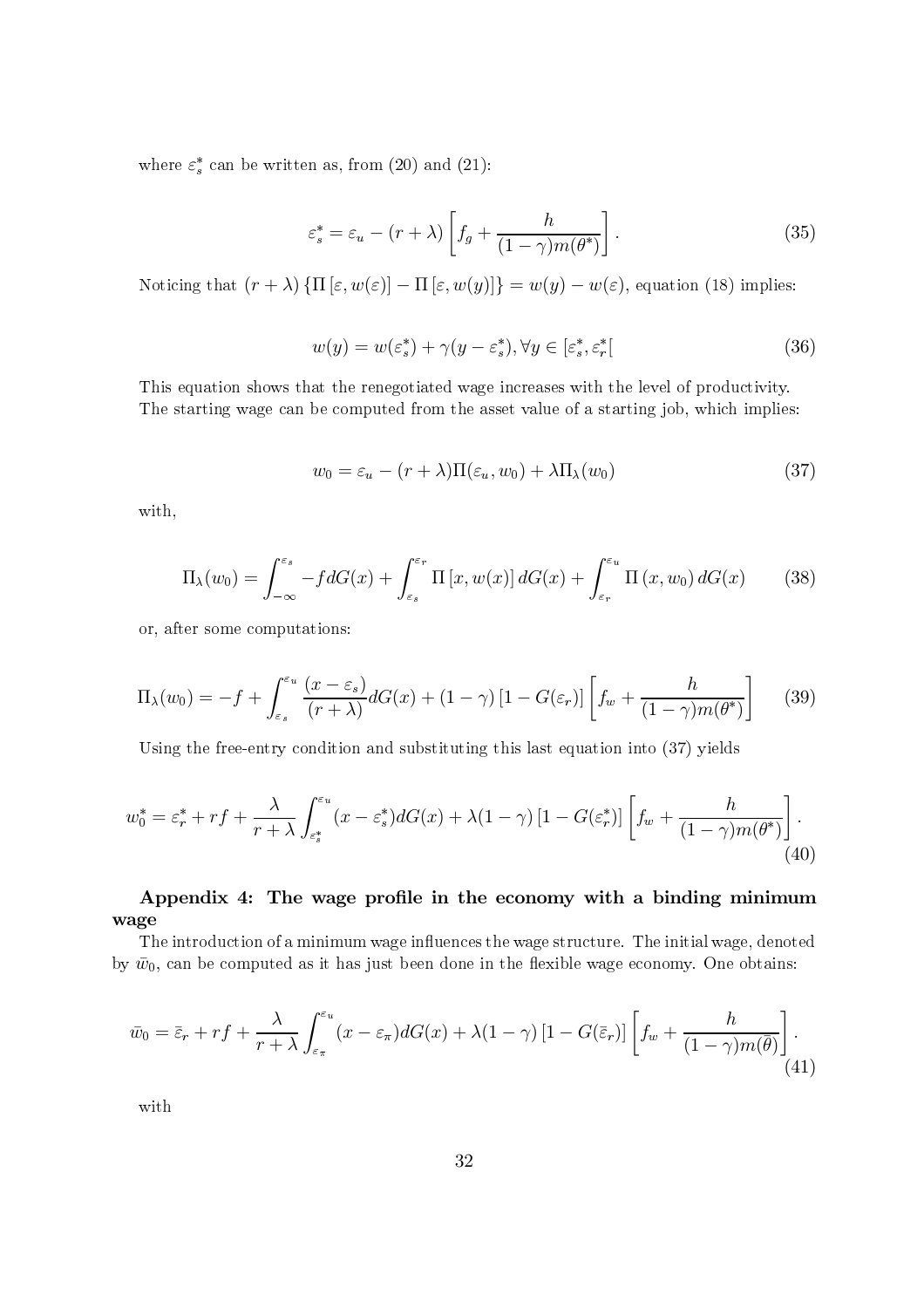where  $\varepsilon_s^*$  can be written as, from (20) and (21):

$$
\varepsilon_s^* = \varepsilon_u - (r + \lambda) \left[ f_g + \frac{h}{(1 - \gamma)m(\theta^*)} \right]. \tag{35}
$$

Noticing that  $(r + \lambda) \{ \Pi [\varepsilon, w(\varepsilon)] - \Pi [\varepsilon, w(y)] \} = w(y) - w(\varepsilon)$ , equation (18) implies:

$$
w(y) = w(\varepsilon_s^*) + \gamma(y - \varepsilon_s^*), \forall y \in [\varepsilon_s^*, \varepsilon_r^*]
$$
\n(36)

This equation shows that the renegotiated wage increases with the level of productivity. The starting wage can be computed from the asset value of a starting job, which implies:

$$
w_0 = \varepsilon_u - (r + \lambda) \Pi(\varepsilon_u, w_0) + \lambda \Pi_\lambda(w_0)
$$
\n(37)

with,

$$
\Pi_{\lambda}(w_0) = \int_{-\infty}^{\varepsilon_s} -f dG(x) + \int_{\varepsilon_s}^{\varepsilon_r} \Pi\left[x, w(x)\right] dG(x) + \int_{\varepsilon_r}^{\varepsilon_u} \Pi\left(x, w_0\right) dG(x) \tag{38}
$$

or, after some computations:

$$
\Pi_{\lambda}(w_0) = -f + \int_{\varepsilon_s}^{\varepsilon_u} \frac{(x - \varepsilon_s)}{(r + \lambda)} dG(x) + (1 - \gamma) \left[1 - G(\varepsilon_r)\right] \left[ f_w + \frac{h}{(1 - \gamma)m(\theta^*)} \right] \tag{39}
$$

Using the free-entry condition and substituting this last equation into (37) yields

$$
w_0^* = \varepsilon_r^* + rf + \frac{\lambda}{r + \lambda} \int_{\varepsilon_s^*}^{\varepsilon_u} (x - \varepsilon_s^*) dG(x) + \lambda (1 - \gamma) \left[1 - G(\varepsilon_r^*)\right] \left[ f_w + \frac{h}{(1 - \gamma)m(\theta^*)} \right].
$$
\n(40)

# Appendix 4: The wage profile in the economy with a binding minimum wage

The introduction of a minimum wage influences the wage structure. The initial wage, denoted by  $\bar{w}_0$ , can be computed as it has just been done in the flexible wage economy. One obtains:

$$
\bar{w}_0 = \bar{\varepsilon}_r + rf + \frac{\lambda}{r + \lambda} \int_{\varepsilon_\pi}^{\varepsilon_u} (x - \varepsilon_\pi) dG(x) + \lambda (1 - \gamma) \left[1 - G(\bar{\varepsilon}_r)\right] \left[ f_w + \frac{h}{(1 - \gamma)m(\bar{\theta})} \right]. \tag{41}
$$

with